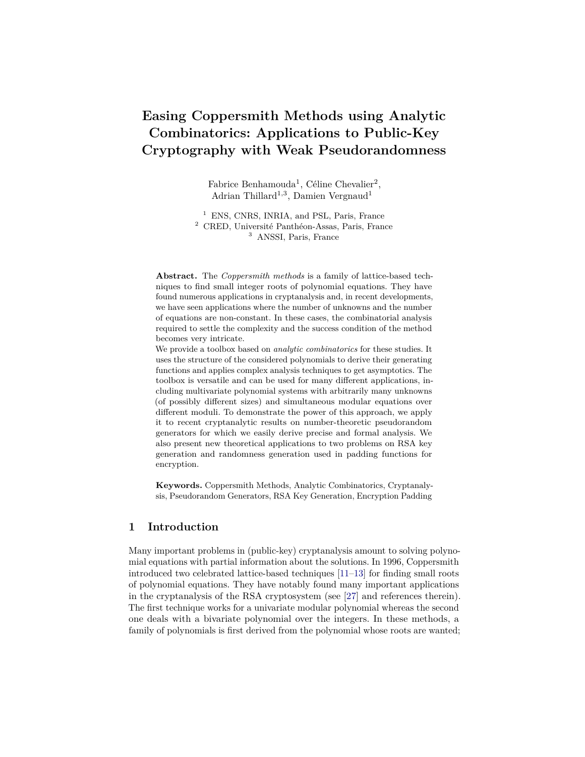# **Easing Coppersmith Methods using Analytic Combinatorics: Applications to Public-Key Cryptography with Weak Pseudorandomness**

Fabrice Benhamouda<sup>1</sup>, Céline Chevalier<sup>2</sup>, Adrian Thillard<sup>1,3</sup>, Damien Vergnaud<sup>1</sup>

<sup>1</sup> ENS, CNRS, INRIA, and PSL, Paris, France <sup>2</sup> CRED, Université Panthéon-Assas, Paris, France <sup>3</sup> ANSSI, Paris, France

**Abstract.** The *Coppersmith methods* is a family of lattice-based techniques to find small integer roots of polynomial equations. They have found numerous applications in cryptanalysis and, in recent developments, we have seen applications where the number of unknowns and the number of equations are non-constant. In these cases, the combinatorial analysis required to settle the complexity and the success condition of the method becomes very intricate.

We provide a toolbox based on *analytic combinatorics* for these studies. It uses the structure of the considered polynomials to derive their generating functions and applies complex analysis techniques to get asymptotics. The toolbox is versatile and can be used for many different applications, including multivariate polynomial systems with arbitrarily many unknowns (of possibly different sizes) and simultaneous modular equations over different moduli. To demonstrate the power of this approach, we apply it to recent cryptanalytic results on number-theoretic pseudorandom generators for which we easily derive precise and formal analysis. We also present new theoretical applications to two problems on RSA key generation and randomness generation used in padding functions for encryption.

**Keywords.** Coppersmith Methods, Analytic Combinatorics, Cryptanalysis, Pseudorandom Generators, RSA Key Generation, Encryption Padding

# **1 Introduction**

Many important problems in (public-key) cryptanalysis amount to solving polynomial equations with partial information about the solutions. In 1996, Coppersmith introduced two celebrated lattice-based techniques [\[11–](#page-28-0)[13\]](#page-28-1) for finding small roots of polynomial equations. They have notably found many important applications in the cryptanalysis of the RSA cryptosystem (see [\[27\]](#page-29-0) and references therein). The first technique works for a univariate modular polynomial whereas the second one deals with a bivariate polynomial over the integers. In these methods, a family of polynomials is first derived from the polynomial whose roots are wanted;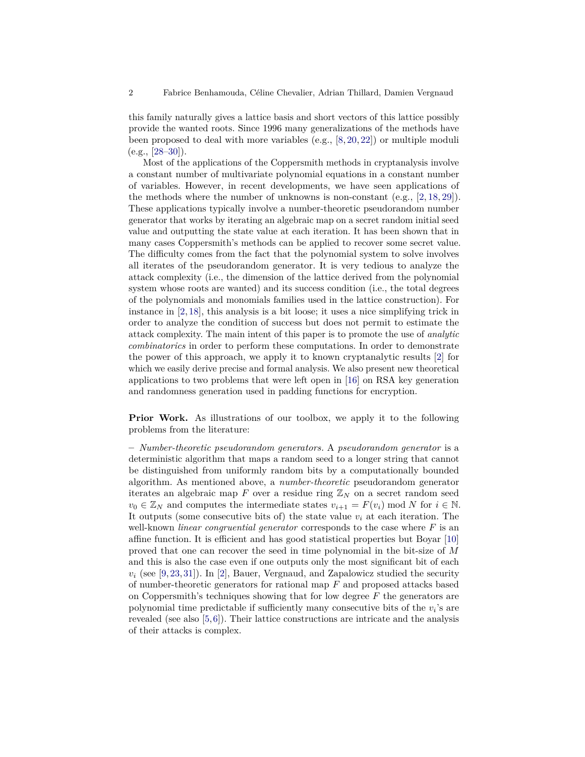this family naturally gives a lattice basis and short vectors of this lattice possibly provide the wanted roots. Since 1996 many generalizations of the methods have been proposed to deal with more variables (e.g., [\[8,](#page-28-2) [20,](#page-29-1) [22\]](#page-29-2)) or multiple moduli  $(e.g., [28-30]).$  $(e.g., [28-30]).$  $(e.g., [28-30]).$ 

Most of the applications of the Coppersmith methods in cryptanalysis involve a constant number of multivariate polynomial equations in a constant number of variables. However, in recent developments, we have seen applications of the methods where the number of unknowns is non-constant (e.g., [\[2,](#page-28-3) [18,](#page-29-5) [29\]](#page-29-6)). These applications typically involve a number-theoretic pseudorandom number generator that works by iterating an algebraic map on a secret random initial seed value and outputting the state value at each iteration. It has been shown that in many cases Coppersmith's methods can be applied to recover some secret value. The difficulty comes from the fact that the polynomial system to solve involves all iterates of the pseudorandom generator. It is very tedious to analyze the attack complexity (i.e., the dimension of the lattice derived from the polynomial system whose roots are wanted) and its success condition (i.e., the total degrees of the polynomials and monomials families used in the lattice construction). For instance in  $[2,18]$  $[2,18]$ , this analysis is a bit loose; it uses a nice simplifying trick in order to analyze the condition of success but does not permit to estimate the attack complexity. The main intent of this paper is to promote the use of *analytic combinatorics* in order to perform these computations. In order to demonstrate the power of this approach, we apply it to known cryptanalytic results [\[2\]](#page-28-3) for which we easily derive precise and formal analysis. We also present new theoretical applications to two problems that were left open in [\[16\]](#page-29-7) on RSA key generation and randomness generation used in padding functions for encryption.

**Prior Work.** As illustrations of our toolbox, we apply it to the following problems from the literature:

**–** *Number-theoretic pseudorandom generators.* A *pseudorandom generator* is a deterministic algorithm that maps a random seed to a longer string that cannot be distinguished from uniformly random bits by a computationally bounded algorithm. As mentioned above, a *number-theoretic* pseudorandom generator iterates an algebraic map  $F$  over a residue ring  $\mathbb{Z}_N$  on a secret random seed  $v_0 \in \mathbb{Z}_N$  and computes the intermediate states  $v_{i+1} = F(v_i) \mod N$  for  $i \in \mathbb{N}$ . It outputs (some consecutive bits of) the state value  $v_i$  at each iteration. The well-known *linear congruential generator* corresponds to the case where *F* is an affine function. It is efficient and has good statistical properties but Boyar [\[10\]](#page-28-4) proved that one can recover the seed in time polynomial in the bit-size of *M* and this is also the case even if one outputs only the most significant bit of each  $v_i$  (see [\[9,](#page-28-5) [23,](#page-29-8) [31\]](#page-29-9)). In [\[2\]](#page-28-3), Bauer, Vergnaud, and Zapalowicz studied the security of number-theoretic generators for rational map *F* and proposed attacks based on Coppersmith's techniques showing that for low degree *F* the generators are polynomial time predictable if sufficiently many consecutive bits of the *v<sup>i</sup>* 's are revealed (see also [\[5,](#page-28-6)[6\]](#page-28-7)). Their lattice constructions are intricate and the analysis of their attacks is complex.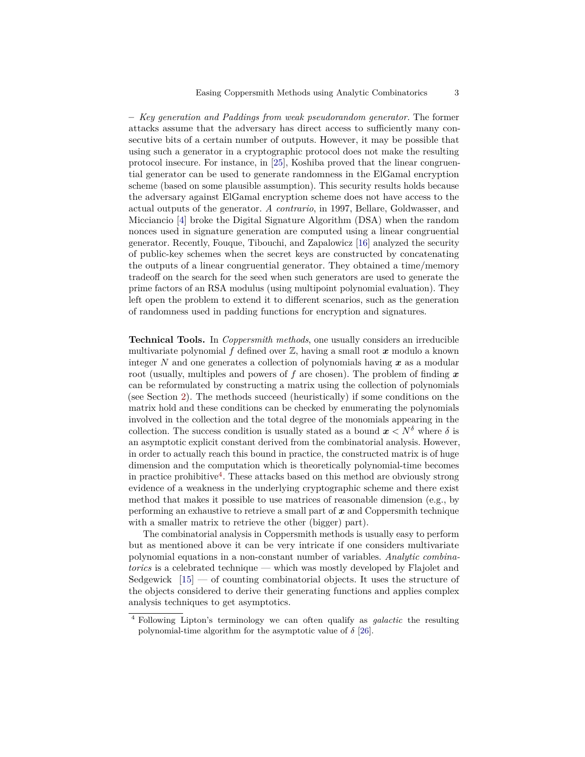**–** *Key generation and Paddings from weak pseudorandom generator.* The former attacks assume that the adversary has direct access to sufficiently many consecutive bits of a certain number of outputs. However, it may be possible that using such a generator in a cryptographic protocol does not make the resulting protocol insecure. For instance, in [\[25\]](#page-29-10), Koshiba proved that the linear congruential generator can be used to generate randomness in the ElGamal encryption scheme (based on some plausible assumption). This security results holds because the adversary against ElGamal encryption scheme does not have access to the actual outputs of the generator. *A contrario*, in 1997, Bellare, Goldwasser, and Micciancio [\[4\]](#page-28-8) broke the Digital Signature Algorithm (DSA) when the random nonces used in signature generation are computed using a linear congruential generator. Recently, Fouque, Tibouchi, and Zapalowicz [\[16\]](#page-29-7) analyzed the security of public-key schemes when the secret keys are constructed by concatenating the outputs of a linear congruential generator. They obtained a time/memory tradeoff on the search for the seed when such generators are used to generate the prime factors of an RSA modulus (using multipoint polynomial evaluation). They left open the problem to extend it to different scenarios, such as the generation of randomness used in padding functions for encryption and signatures.

**Technical Tools.** In *Coppersmith methods*, one usually considers an irreducible multivariate polynomial *f* defined over Z, having a small root *x* modulo a known integer *N* and one generates a collection of polynomials having *x* as a modular root (usually, multiples and powers of *f* are chosen). The problem of finding *x* can be reformulated by constructing a matrix using the collection of polynomials (see Section [2\)](#page-3-0). The methods succeed (heuristically) if some conditions on the matrix hold and these conditions can be checked by enumerating the polynomials involved in the collection and the total degree of the monomials appearing in the collection. The success condition is usually stated as a bound  $\mathbf{x} \lt N^{\delta}$  where  $\delta$  is an asymptotic explicit constant derived from the combinatorial analysis. However, in order to actually reach this bound in practice, the constructed matrix is of huge dimension and the computation which is theoretically polynomial-time becomes in practice prohibitive<sup>[4](#page-2-0)</sup>. These attacks based on this method are obviously strong evidence of a weakness in the underlying cryptographic scheme and there exist method that makes it possible to use matrices of reasonable dimension (e.g., by performing an exhaustive to retrieve a small part of *x* and Coppersmith technique with a smaller matrix to retrieve the other (bigger) part).

The combinatorial analysis in Coppersmith methods is usually easy to perform but as mentioned above it can be very intricate if one considers multivariate polynomial equations in a non-constant number of variables. *Analytic combinatorics* is a celebrated technique — which was mostly developed by Flajolet and Sedgewick  $[15]$  — of counting combinatorial objects. It uses the structure of the objects considered to derive their generating functions and applies complex analysis techniques to get asymptotics.

<span id="page-2-0"></span><sup>4</sup> Following Lipton's terminology we can often qualify as *galactic* the resulting polynomial-time algorithm for the asymptotic value of  $\delta$  [\[26\]](#page-29-11).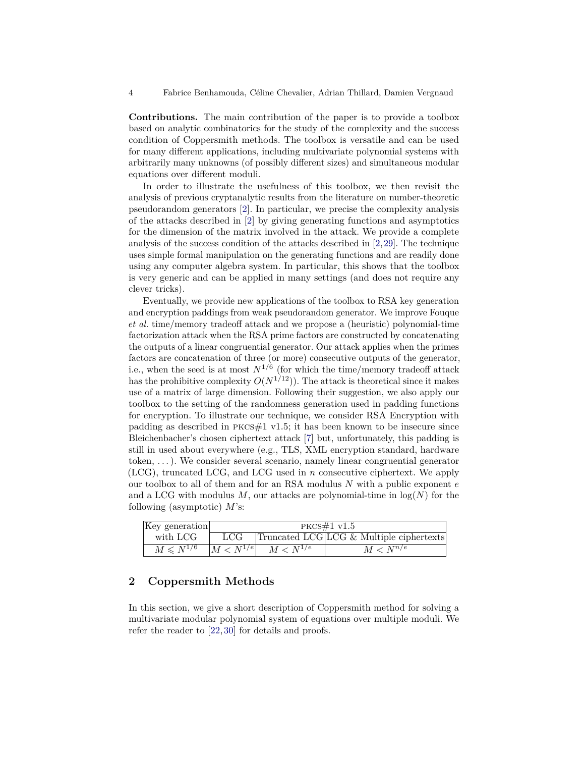**Contributions.** The main contribution of the paper is to provide a toolbox based on analytic combinatorics for the study of the complexity and the success condition of Coppersmith methods. The toolbox is versatile and can be used for many different applications, including multivariate polynomial systems with arbitrarily many unknowns (of possibly different sizes) and simultaneous modular equations over different moduli.

In order to illustrate the usefulness of this toolbox, we then revisit the analysis of previous cryptanalytic results from the literature on number-theoretic pseudorandom generators [\[2\]](#page-28-3). In particular, we precise the complexity analysis of the attacks described in [\[2\]](#page-28-3) by giving generating functions and asymptotics for the dimension of the matrix involved in the attack. We provide a complete analysis of the success condition of the attacks described in [\[2,](#page-28-3)[29\]](#page-29-6). The technique uses simple formal manipulation on the generating functions and are readily done using any computer algebra system. In particular, this shows that the toolbox is very generic and can be applied in many settings (and does not require any clever tricks).

Eventually, we provide new applications of the toolbox to RSA key generation and encryption paddings from weak pseudorandom generator. We improve Fouque *et al.* time/memory tradeoff attack and we propose a (heuristic) polynomial-time factorization attack when the RSA prime factors are constructed by concatenating the outputs of a linear congruential generator. Our attack applies when the primes factors are concatenation of three (or more) consecutive outputs of the generator, i.e., when the seed is at most  $N^{1/6}$  (for which the time/memory tradeoff attack has the prohibitive complexity  $O(N^{1/12})$ ). The attack is theoretical since it makes use of a matrix of large dimension. Following their suggestion, we also apply our toolbox to the setting of the randomness generation used in padding functions for encryption. To illustrate our technique, we consider RSA Encryption with padding as described in  $PKCS#1$  v1.5; it has been known to be insecure since Bleichenbacher's chosen ciphertext attack [\[7\]](#page-28-10) but, unfortunately, this padding is still in used about everywhere (e.g., TLS, XML encryption standard, hardware token, . . . ). We consider several scenario, namely linear congruential generator (LCG), truncated LCG, and LCG used in *n* consecutive ciphertext. We apply our toolbox to all of them and for an RSA modulus *N* with a public exponent *e* and a LCG with modulus M, our attacks are polynomial-time in  $log(N)$  for the following (asymptotic) *M*'s:

| Key generation   | PKCS $\#1$ v1.5                       |               |                                          |  |  |  |  |  |
|------------------|---------------------------------------|---------------|------------------------------------------|--|--|--|--|--|
| with LCG         | LCG                                   |               | Truncated LCG LCG & Multiple ciphertexts |  |  |  |  |  |
| $M \leq N^{1/6}$ | $\overline{M}$ < $\overline{N^{1/e}}$ | $M < N^{1/e}$ | $M < N^{n/e}$                            |  |  |  |  |  |

# <span id="page-3-0"></span>**2 Coppersmith Methods**

In this section, we give a short description of Coppersmith method for solving a multivariate modular polynomial system of equations over multiple moduli. We refer the reader to [\[22,](#page-29-2) [30\]](#page-29-4) for details and proofs.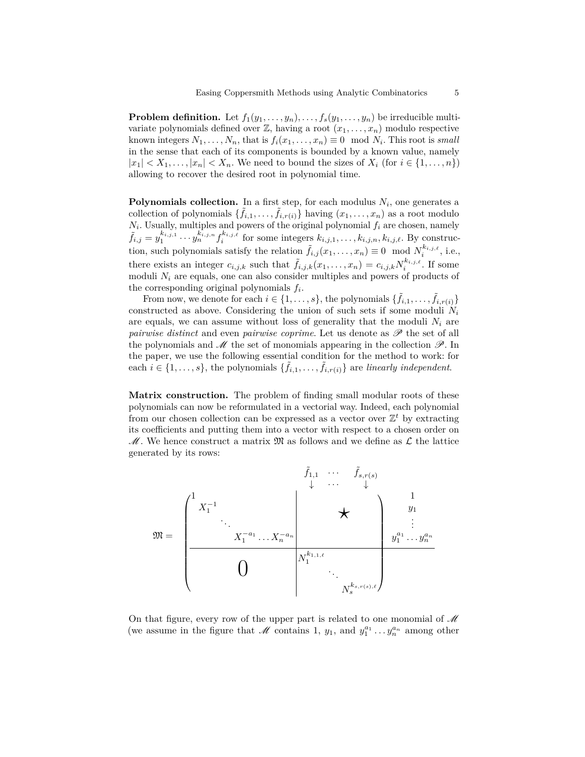**Problem definition.** Let  $f_1(y_1, \ldots, y_n), \ldots, f_s(y_1, \ldots, y_n)$  be irreducible multivariate polynomials defined over  $\mathbb{Z}$ , having a root  $(x_1, \ldots, x_n)$  modulo respective known integers  $N_1, \ldots, N_n$ , that is  $f_i(x_1, \ldots, x_n) \equiv 0 \mod N_i$ . This root is *small* in the sense that each of its components is bounded by a known value, namely  $|x_1| < X_1, \ldots, |x_n| < X_n$ . We need to bound the sizes of  $X_i$  (for  $i \in \{1, \ldots, n\}$ ) allowing to recover the desired root in polynomial time.

**Polynomials collection.** In a first step, for each modulus *N<sup>i</sup>* , one generates a collection of polynomials  $\{\tilde{f}_{i,1}, \ldots, \tilde{f}_{i,r(i)}\}$  having  $(x_1, \ldots, x_n)$  as a root modulo  $N_i$ . Usually, multiples and powers of the original polynomial  $f_i$  are chosen, namely  $\tilde{f}_{i,j} = y_1^{k_{i,j,1}} \cdots y_n^{k_{i,j,n}} f_i^{k_{i,j,\ell}}$  for some integers  $k_{i,j,1}, \ldots, k_{i,j,n}, k_{i,j,\ell}$ . By construction, such polynomials satisfy the relation  $\tilde{f}_{i,j}(x_1,\ldots,x_n) \equiv 0 \mod N_i^{k_{i,j,\ell}}$ , i.e., there exists an integer  $c_{i,j,k}$  such that  $\tilde{f}_{i,j,k}(x_1,\ldots,x_n) = c_{i,j,k} N_i^{k_{i,j,\ell}}$ . If some moduli *N<sup>i</sup>* are equals, one can also consider multiples and powers of products of the corresponding original polynomials *f<sup>i</sup>* .

From now, we denote for each  $i \in \{1, \ldots, s\}$ , the polynomials  $\{\tilde{f}_{i,1}, \ldots, \tilde{f}_{i,r(i)}\}$ constructed as above. Considering the union of such sets if some moduli  $N_i$ are equals, we can assume without loss of generality that the moduli  $N_i$  are *pairwise distinct* and even *pairwise coprime*. Let us denote as  $\mathscr P$  the set of all the polynomials and  $\mathscr M$  the set of monomials appearing in the collection  $\mathscr P$ . In the paper, we use the following essential condition for the method to work: for each  $i \in \{1, \ldots, s\}$ , the polynomials  $\{\tilde{f}_{i,1}, \ldots, \tilde{f}_{i,r(i)}\}$  are *linearly independent*.

**Matrix construction.** The problem of finding small modular roots of these polynomials can now be reformulated in a vectorial way. Indeed, each polynomial from our chosen collection can be expressed as a vector over  $\mathbb{Z}^t$  by extracting its coefficients and putting them into a vector with respect to a chosen order on M. We hence construct a matrix  $\mathfrak{M}$  as follows and we define as  $\mathcal{L}$  the lattice generated by its rows:



On that figure, every row of the upper part is related to one monomial of  $\mathcal M$ (we assume in the figure that  $\mathcal{M}$  contains 1,  $y_1$ , and  $y_1^{a_1} \dots y_n^{a_n}$  among other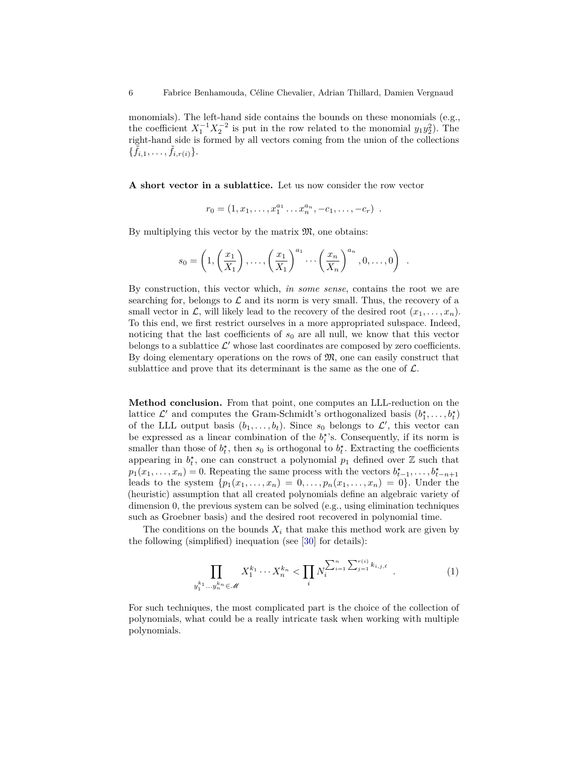monomials). The left-hand side contains the bounds on these monomials (e.g., the coefficient  $X_1^{-1}X_2^{-2}$  is put in the row related to the monomial  $y_1y_2^2$ ). The right-hand side is formed by all vectors coming from the union of the collections  $\{\tilde{\tilde{f}}_{i,1}, \ldots, \tilde{f}_{i,r(i)}\}.$ 

**A short vector in a sublattice.** Let us now consider the row vector

$$
r_0 = (1, x_1, \ldots, x_1^{a_1} \ldots x_n^{a_n}, -c_1, \ldots, -c_r) \; .
$$

By multiplying this vector by the matrix  $\mathfrak{M}$ , one obtains:

$$
s_0 = \left(1, \left(\frac{x_1}{X_1}\right), \dots, \left(\frac{x_1}{X_1}\right)^{a_1} \cdots \left(\frac{x_n}{X_n}\right)^{a_n}, 0, \dots, 0\right) \ .
$$

By construction, this vector which, *in some sense*, contains the root we are searching for, belongs to  $\mathcal L$  and its norm is very small. Thus, the recovery of a small vector in  $\mathcal{L}$ , will likely lead to the recovery of the desired root  $(x_1, \ldots, x_n)$ . To this end, we first restrict ourselves in a more appropriated subspace. Indeed, noticing that the last coefficients of  $s_0$  are all null, we know that this vector belongs to a sublattice  $\mathcal{L}'$  whose last coordinates are composed by zero coefficients. By doing elementary operations on the rows of  $\mathfrak{M}$ , one can easily construct that sublattice and prove that its determinant is the same as the one of  $\mathcal{L}$ .

**Method conclusion.** From that point, one computes an LLL-reduction on the lattice  $\mathcal{L}'$  and computes the Gram-Schmidt's orthogonalized basis  $(b_1^*, \ldots, b_t^*)$ of the LLL output basis  $(b_1, \ldots, b_t)$ . Since  $s_0$  belongs to  $\mathcal{L}'$ , this vector can be expressed as a linear combination of the  $b_i^*$ 's. Consequently, if its norm is smaller than those of  $b_t^*$ , then  $s_0$  is orthogonal to  $b_t^*$ . Extracting the coefficients appearing in  $b_t^*$ , one can construct a polynomial  $p_1$  defined over  $\mathbb Z$  such that  $p_1(x_1, \ldots, x_n) = 0$ . Repeating the same process with the vectors  $b_{t-1}^*$ , ...,  $b_{t-n+1}^*$ leads to the system  $\{p_1(x_1, ..., x_n) = 0, ..., p_n(x_1, ..., x_n) = 0\}$ . Under the (heuristic) assumption that all created polynomials define an algebraic variety of dimension 0, the previous system can be solved (e.g., using elimination techniques such as Groebner basis) and the desired root recovered in polynomial time.

The conditions on the bounds  $X_i$  that make this method work are given by the following (simplified) inequation (see [\[30\]](#page-29-4) for details):

<span id="page-5-0"></span>
$$
\prod_{y_1^{k_1}\dots y_n^{k_n}\in\mathcal{M}} X_1^{k_1}\cdots X_n^{k_n} < \prod_i N_i^{\sum_{i=1}^n \sum_{j=1}^{r(i)} k_{i,j,\ell}} \tag{1}
$$

For such techniques, the most complicated part is the choice of the collection of polynomials, what could be a really intricate task when working with multiple polynomials.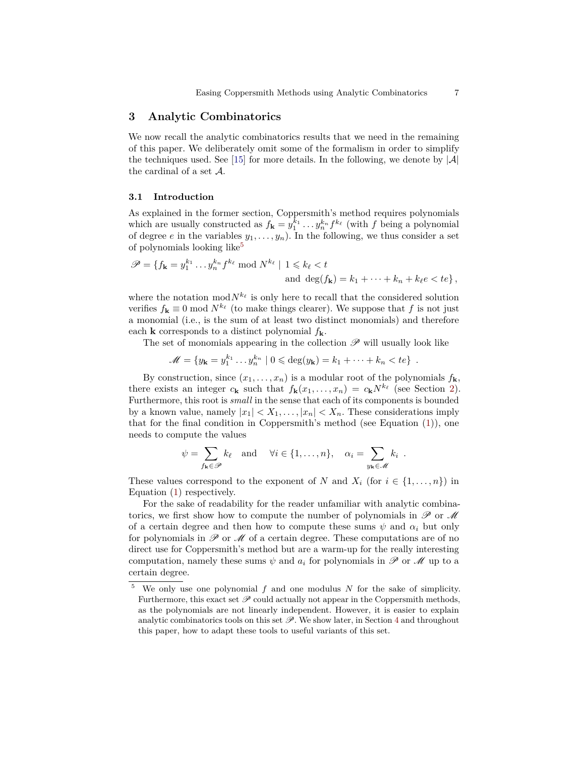# **3 Analytic Combinatorics**

We now recall the analytic combinatorics results that we need in the remaining of this paper. We deliberately omit some of the formalism in order to simplify the techniques used. See [\[15\]](#page-28-9) for more details. In the following, we denote by  $|\mathcal{A}|$ the cardinal of a set A.

### <span id="page-6-1"></span>**3.1 Introduction**

As explained in the former section, Coppersmith's method requires polynomials which are usually constructed as  $f_{\mathbf{k}} = y_1^{k_1} \dots y_n^{k_n} f^{k_\ell}$  (with *f* being a polynomial of degree *e* in the variables  $y_1, \ldots, y_n$ ). In the following, we thus consider a set of polynomials looking like<sup>[5](#page-6-0)</sup>

$$
\mathscr{P} = \{ f_{\mathbf{k}} = y_1^{k_1} \dots y_n^{k_n} f^{k_\ell} \text{ mod } N^{k_\ell} \mid 1 \leq k_\ell < t
$$
\n
$$
\text{ and } \deg(f_{\mathbf{k}}) = k_1 + \dots + k_n + k_\ell e < t e \},
$$

where the notation  $\text{mod } N^{k_{\ell}}$  is only here to recall that the considered solution verifies  $f_{\mathbf{k}} \equiv 0 \mod N^{k_{\ell}}$  (to make things clearer). We suppose that f is not just a monomial (i.e., is the sum of at least two distinct monomials) and therefore each **k** corresponds to a distinct polynomial  $f_{\mathbf{k}}$ .

The set of monomials appearing in the collection  $\mathscr P$  will usually look like

 $\mathscr{M} = \{ y_{\mathbf{k}} = y_1^{k_1} \dots y_n^{k_n} \mid 0 \leq \deg(y_{\mathbf{k}}) = k_1 + \dots + k_n < t e \}$ .

By construction, since  $(x_1, \ldots, x_n)$  is a modular root of the polynomials  $f_{\mathbf{k}}$ , there exists an integer  $c_{\mathbf{k}}$  such that  $f_{\mathbf{k}}(x_1, \ldots, x_n) = c_{\mathbf{k}} N^{k_{\ell}}$  (see Section [2\)](#page-3-0). Furthermore, this root is *small* in the sense that each of its components is bounded by a known value, namely  $|x_1| < X_1, \ldots, |x_n| < X_n$ . These considerations imply that for the final condition in Coppersmith's method (see Equation  $(1)$ ), one needs to compute the values

$$
\psi = \sum_{f_{\mathbf{k}} \in \mathscr{P}} k_{\ell}
$$
 and  $\forall i \in \{1, ..., n\}, \quad \alpha_i = \sum_{y_{\mathbf{k}} \in \mathscr{M}} k_i$ .

These values correspond to the exponent of *N* and  $X_i$  (for  $i \in \{1, \ldots, n\}$ ) in Equation [\(1\)](#page-5-0) respectively.

For the sake of readability for the reader unfamiliar with analytic combinatorics, we first show how to compute the number of polynomials in  $\mathscr P$  or  $\mathscr M$ of a certain degree and then how to compute these sums  $\psi$  and  $\alpha_i$  but only for polynomials in  $\mathscr P$  or  $\mathscr M$  of a certain degree. These computations are of no direct use for Coppersmith's method but are a warm-up for the really interesting computation, namely these sums  $\psi$  and  $a_i$  for polynomials in  $\mathscr P$  or  $\mathscr M$  up to a certain degree.

<span id="page-6-0"></span><sup>5</sup> We only use one polynomial *f* and one modulus *N* for the sake of simplicity. Furthermore, this exact set  $\mathscr P$  could actually not appear in the Coppersmith methods, as the polynomials are not linearly independent. However, it is easier to explain analytic combinatorics tools on this set  $\mathscr{P}$ . We show later, in Section [4](#page-11-0) and throughout this paper, how to adapt these tools to useful variants of this set.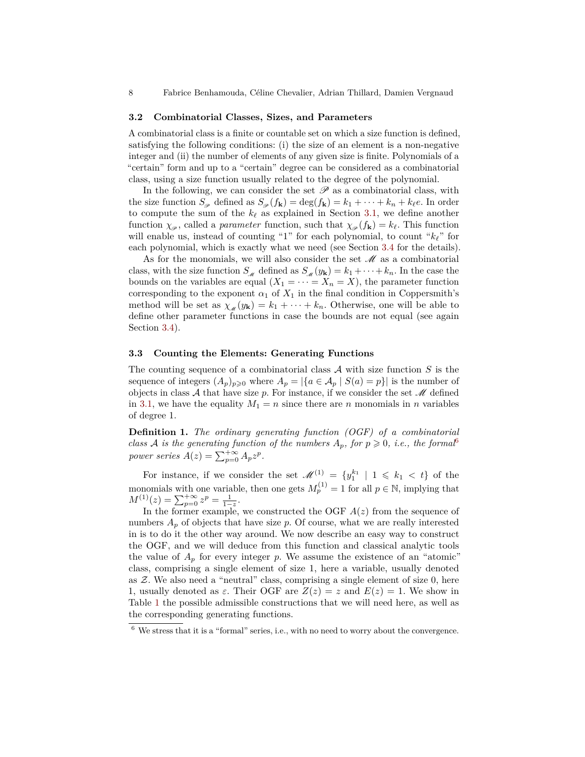### **3.2 Combinatorial Classes, Sizes, and Parameters**

A combinatorial class is a finite or countable set on which a size function is defined, satisfying the following conditions: (i) the size of an element is a non-negative integer and (ii) the number of elements of any given size is finite. Polynomials of a "certain" form and up to a "certain" degree can be considered as a combinatorial class, using a size function usually related to the degree of the polynomial.

In the following, we can consider the set  $\mathscr P$  as a combinatorial class, with the size function  $S_{\varphi}$  defined as  $S_{\varphi}(f_{\mathbf{k}}) = \deg(f_{\mathbf{k}}) = k_1 + \cdots + k_n + k_{\ell}e$ . In order to compute the sum of the  $k_\ell$  as explained in Section [3.1,](#page-6-1) we define another function  $\chi_{\varphi}$ , called a *parameter* function, such that  $\chi_{\varphi}(f_{\mathbf{k}}) = k_{\ell}$ . This function will enable us, instead of counting "1" for each polynomial, to count " $k_{\ell}$ " for each polynomial, which is exactly what we need (see Section [3.4](#page-8-0) for the details).

As for the monomials, we will also consider the set  $\mathcal M$  as a combinatorial class, with the size function  $S_M$  defined as  $S_M(y_k) = k_1 + \cdots + k_n$ . In the case the bounds on the variables are equal  $(X_1 = \cdots = X_n = X)$ , the parameter function corresponding to the exponent  $\alpha_1$  of  $X_1$  in the final condition in Coppersmith's method will be set as  $\chi_{\mathscr{M}}(y_{\mathbf{k}}) = k_1 + \cdots + k_n$ . Otherwise, one will be able to define other parameter functions in case the bounds are not equal (see again Section [3.4\)](#page-8-0).

### **3.3 Counting the Elements: Generating Functions**

The counting sequence of a combinatorial class A with size function *S* is the sequence of integers  $(A_p)_{p\geqslant 0}$  where  $A_p = |\{a \in A_p \mid S(a) = p\}|$  is the number of objects in class  $A$  that have size  $p$ . For instance, if we consider the set  $\mathcal M$  defined in [3.1,](#page-6-1) we have the equality  $M_1 = n$  since there are *n* monomials in *n* variables of degree 1.

**Definition 1.** *The ordinary generating function (OGF) of a combinatorial class* A *is the generating function of the numbers*  $A_p$ *, for*  $p \geq 0$ *, i.e., the formal*<sup>[6](#page-7-0)</sup> *power series*  $A(z) = \sum_{p=0}^{+\infty} A_p z^p$ .

For instance, if we consider the set  $\mathcal{M}^{(1)} = \{y_1^{k_1} \mid 1 \leq k_1 < t\}$  of the monomials with one variable, then one gets  $M_p^{(1)} = 1$  for all  $p \in \mathbb{N}$ , implying that  $M^{(1)}(z) = \sum_{p=0}^{+\infty} z^p = \frac{1}{1-z}.$ 

In the former example, we constructed the OGF *A*(*z*) from the sequence of numbers  $A_p$  of objects that have size  $p$ . Of course, what we are really interested in is to do it the other way around. We now describe an easy way to construct the OGF, and we will deduce from this function and classical analytic tools the value of  $A_p$  for every integer  $p$ . We assume the existence of an "atomic" class, comprising a single element of size 1, here a variable, usually denoted as  $Z$ . We also need a "neutral" class, comprising a single element of size 0, here 1, usually denoted as  $\varepsilon$ . Their OGF are  $Z(z) = z$  and  $E(z) = 1$ . We show in Table [1](#page-8-1) the possible admissible constructions that we will need here, as well as the corresponding generating functions.

<span id="page-7-0"></span><sup>6</sup> We stress that it is a "formal" series, i.e., with no need to worry about the convergence.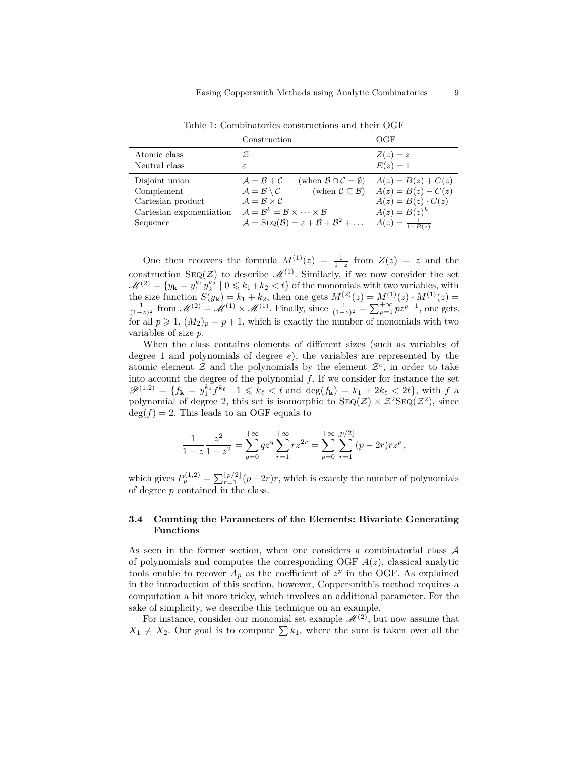<span id="page-8-1"></span>

|                                                           | Construction                                                                                                                                                                | OGF                                              |
|-----------------------------------------------------------|-----------------------------------------------------------------------------------------------------------------------------------------------------------------------------|--------------------------------------------------|
| Atomic class<br>Neutral class                             | Z<br>ε                                                                                                                                                                      | $Z(z) = z$<br>$E(z)=1$                           |
| Disjoint union                                            | (when $\mathcal{B} \cap \mathcal{C} = \emptyset$ )<br>$\mathcal{A} = \mathcal{B} + \mathcal{C}$                                                                             | $A(z) = B(z) + C(z)$                             |
| Complement                                                | (when $\mathcal{C} \subseteq \mathcal{B}$ )<br>$\mathcal{A} = \mathcal{B} \setminus \mathcal{C}$<br>$A = B \times C$                                                        | $A(z) = B(z) - C(z)$<br>$A(z) = B(z) \cdot C(z)$ |
| Cartesian product<br>Cartesian exponentiation<br>Sequence | $\mathcal{A} = \mathcal{B}^k = \mathcal{B} \times \cdots \times \mathcal{B}$<br>$\mathcal{A} = \text{Seq}(\mathcal{B}) = \varepsilon + \mathcal{B} + \mathcal{B}^2 + \dots$ | $A(z) = B(z)^k$<br>$A(z) = \frac{1}{1 - B(z)}$   |

Table 1: Combinatorics constructions and their OGF

One then recovers the formula  $M^{(1)}(z) = \frac{1}{1-z}$  from  $Z(z) = z$  and the construction  $\text{Seq}(\mathcal{Z})$  to describe  $\mathcal{M}^{(1)}$ . Similarly, if we now consider the set  $\mathscr{M}^{(2)} = \{y_k = y_1^{k_1} y_2^{k_2} \mid 0 \leq k_1 + k_2 < t\}$  of the monomials with two variables, with the size function  $S(y_k) = k_1 + k_2$ , then one gets  $M^{(2)}(z) = M^{(1)}(z) \cdot M^{(1)}(z) = \frac{1}{(1-z)^2}$  from  $\mathcal{M}^{(2)} = \mathcal{M}^{(1)} \times \mathcal{M}^{(1)}$ . Finally, since  $\frac{1}{(1-z)^2} = \sum_{p=1}^{+\infty} p z^{p-1}$ , one gets, for all  $p \ge 1$ ,  $(M_2)_p = p + 1$ , which is exactly the number of monomials with two variables of size *p*.

When the class contains elements of different sizes (such as variables of degree 1 and polynomials of degree *e*), the variables are represented by the atomic element  $\mathcal Z$  and the polynomials by the element  $\mathcal Z^e$ , in order to take into account the degree of the polynomial  $f$ . If we consider for instance the set  $\mathscr{P}^{(1,2)} = \{f_{\mathbf{k}} = y_1^{k_1} f^{k_\ell} \mid 1 \leq k_\ell < t \text{ and } \deg(f_{\mathbf{k}}) = k_1 + 2k_\ell < 2t\},\$  with *f* a polynomial of degree 2, this set is isomorphic to  $\text{SEQ}(\mathcal{Z}) \times \mathcal{Z}^2 \text{SEQ}(\mathcal{Z}^2)$ , since  $deg(f) = 2$ . This leads to an OGF equals to

$$
\frac{1}{1-z}\frac{z^2}{1-z^2} = \sum_{q=0}^{+\infty} q z^q \sum_{r=1}^{+\infty} r z^{2r} = \sum_{p=0}^{+\infty} \sum_{r=1}^{\lfloor p/2 \rfloor} (p-2r) r z^p,
$$

which gives  $P_p^{(1,2)} = \sum_{r=1}^{\lfloor p/2 \rfloor} (p-2r)r$ , which is exactly the number of polynomials of degree *p* contained in the class.

## <span id="page-8-0"></span>**3.4 Counting the Parameters of the Elements: Bivariate Generating Functions**

As seen in the former section, when one considers a combinatorial class  $A$ of polynomials and computes the corresponding OGF *A*(*z*), classical analytic tools enable to recover  $A_p$  as the coefficient of  $z^p$  in the OGF. As explained in the introduction of this section, however, Coppersmith's method requires a computation a bit more tricky, which involves an additional parameter. For the sake of simplicity, we describe this technique on an example.

For instance, consider our monomial set example  $\mathcal{M}^{(2)}$ , but now assume that  $X_1 \neq X_2$ . Our goal is to compute  $\sum k_1$ , where the sum is taken over all the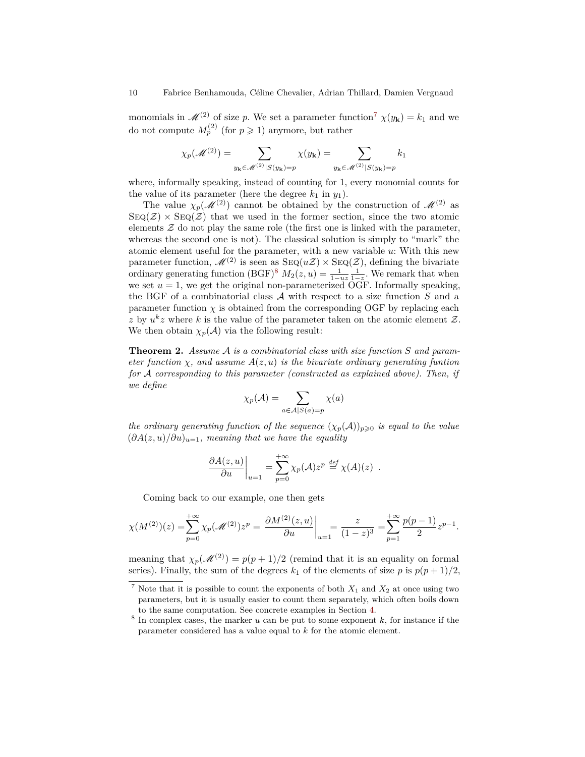monomials in  $\mathcal{M}^{(2)}$  of size p. We set a parameter function<sup>[7](#page-9-0)</sup>  $\chi(y_k) = k_1$  and we do not compute  $M_p^{(2)}$  (for  $p \geq 1$ ) anymore, but rather

$$
\chi_p(\mathscr{M}^{(2)}) = \sum_{y_\mathbf{k} \in \mathscr{M}^{(2)}|S(y_\mathbf{k}) = p} \chi(y_\mathbf{k}) = \sum_{y_\mathbf{k} \in \mathscr{M}^{(2)}|S(y_\mathbf{k}) = p} k_1
$$

where, informally speaking, instead of counting for 1, every monomial counts for the value of its parameter (here the degree  $k_1$  in  $y_1$ ).

The value  $\chi_p(\mathscr{M}^{(2)})$  cannot be obtained by the construction of  $\mathscr{M}^{(2)}$  as  $\text{SEQ}(\mathcal{Z}) \times \text{SEQ}(\mathcal{Z})$  that we used in the former section, since the two atomic elements  $\mathcal Z$  do not play the same role (the first one is linked with the parameter, whereas the second one is not). The classical solution is simply to "mark" the atomic element useful for the parameter, with a new variable *u*: With this new parameter function,  $\mathscr{M}^{(2)}$  is seen as  $\text{SEQ}(u\mathcal{Z}) \times \text{SEQ}(\mathcal{Z})$ , defining the bivariate ordinary generating function  $(BGF)^8$  $(BGF)^8$   $M_2(z, u) = \frac{1}{1 - uz} \frac{1}{1 - z}$ . We remark that when we set  $u = 1$ , we get the original non-parameterized OGF. Informally speaking, the BGF of a combinatorial class A with respect to a size function *S* and a parameter function  $\chi$  is obtained from the corresponding OGF by replacing each *z* by  $u^k z$  where *k* is the value of the parameter taken on the atomic element  $Z$ . We then obtain  $\chi_p(\mathcal{A})$  via the following result:

**Theorem 2.** *Assume* A *is a combinatorial class with size function S and parameter function*  $\chi$ *, and assume*  $A(z, u)$  *is the bivariate ordinary generating funtion for* A *corresponding to this parameter (constructed as explained above). Then, if we define*

$$
\chi_p(\mathcal{A}) = \sum_{a \in \mathcal{A}|S(a) = p} \chi(a)
$$

*the ordinary generating function of the sequence*  $(\chi_p(\mathcal{A}))_{p\geqslant 0}$  *is equal to the value* (*∂A*(*z, u*)*/∂u*)*<sup>u</sup>*=1*, meaning that we have the equality*

$$
\frac{\partial A(z, u)}{\partial u}\Big|_{u=1} = \sum_{p=0}^{+\infty} \chi_p(\mathcal{A}) z^p \stackrel{\text{def}}{=} \chi(A)(z) .
$$

Coming back to our example, one then gets

$$
\chi(M^{(2)})(z) = \sum_{p=0}^{+\infty} \chi_p(\mathscr{M}^{(2)}) z^p = \left. \frac{\partial M^{(2)}(z, u)}{\partial u} \right|_{u=1} = \frac{z}{(1-z)^3} = \sum_{p=1}^{+\infty} \frac{p(p-1)}{2} z^{p-1}.
$$

meaning that  $\chi_p(\mathscr{M}^{(2)}) = p(p+1)/2$  (remind that it is an equality on formal series). Finally, the sum of the degrees  $k_1$  of the elements of size p is  $p(p+1)/2$ .

<span id="page-9-0"></span><sup>&</sup>lt;sup>7</sup> Note that it is possible to count the exponents of both  $X_1$  and  $X_2$  at once using two parameters, but it is usually easier to count them separately, which often boils down to the same computation. See concrete examples in Section [4.](#page-11-0)

<span id="page-9-1"></span> $8 \text{ In complex cases, the marker } u \text{ can be put to some exponent } k, \text{ for instance if the$ parameter considered has a value equal to *k* for the atomic element.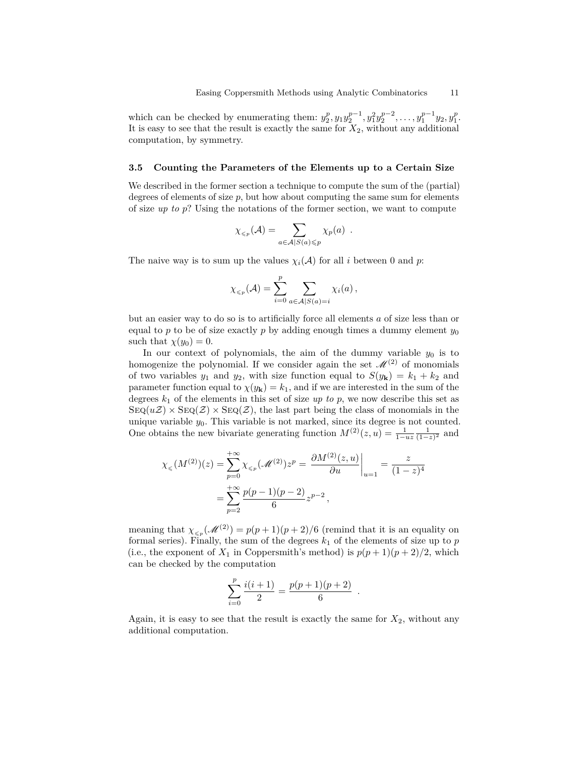which can be checked by enumerating them:  $y_2^p, y_1 y_2^{p-1}, y_1^2 y_2^{p-2}, \ldots, y_1^{p-1} y_2, y_1^p$ . It is easy to see that the result is exactly the same for  $X_2$ , without any additional computation, by symmetry.

### **3.5 Counting the Parameters of the Elements up to a Certain Size**

We described in the former section a technique to compute the sum of the (partial) degrees of elements of size  $p$ , but how about computing the same sum for elements of size *up to p*? Using the notations of the former section, we want to compute

$$
\chi_{\leqslant p}(\mathcal{A}) = \sum_{a \in \mathcal{A}|S(a)\leqslant p} \chi_p(a) .
$$

The naive way is to sum up the values  $\chi_i(\mathcal{A})$  for all *i* between 0 and *p*:

$$
\chi_{\leqslant p}(\mathcal{A}) = \sum_{i=0}^p \sum_{a \in \mathcal{A} | S(a) = i} \chi_i(a) ,
$$

but an easier way to do so is to artificially force all elements *a* of size less than or equal to  $p$  to be of size exactly  $p$  by adding enough times a dummy element  $y_0$ such that  $\chi(y_0) = 0$ .

In our context of polynomials, the aim of the dummy variable  $y_0$  is to homogenize the polynomial. If we consider again the set  $\mathcal{M}^{(2)}$  of monomials of two variables  $y_1$  and  $y_2$ , with size function equal to  $S(y_k) = k_1 + k_2$  and parameter function equal to  $\chi(y_{\mathbf{k}}) = k_1$ , and if we are interested in the sum of the degrees  $k_1$  of the elements in this set of size  $up$  to  $p$ , we now describe this set as  $\text{SEQ}(u\mathcal{Z}) \times \text{SEQ}(\mathcal{Z}) \times \text{SEQ}(\mathcal{Z})$ , the last part being the class of monomials in the unique variable  $y_0$ . This variable is not marked, since its degree is not counted. One obtains the new bivariate generating function  $M^{(2)}(z, u) = \frac{1}{1 - uz} \frac{1}{(1 - z)^2}$  and

$$
\chi_{\leq}(M^{(2)})(z) = \sum_{p=0}^{+\infty} \chi_{\leq p}(\mathcal{M}^{(2)}) z^p = \frac{\partial M^{(2)}(z, u)}{\partial u}\Big|_{u=1} = \frac{z}{(1-z)^4}
$$

$$
= \sum_{p=2}^{+\infty} \frac{p(p-1)(p-2)}{6} z^{p-2},
$$

meaning that  $\chi_{\leq p}(\mathscr{M}^{(2)}) = p(p+1)(p+2)/6$  (remind that it is an equality on formal series). Finally, the sum of the degrees  $k_1$  of the elements of size up to  $p$ (i.e., the exponent of  $X_1$  in Coppersmith's method) is  $p(p+1)(p+2)/2$ , which can be checked by the computation

$$
\sum_{i=0}^{p} \frac{i(i+1)}{2} = \frac{p(p+1)(p+2)}{6}
$$

*.*

Again, it is easy to see that the result is exactly the same for  $X_2$ , without any additional computation.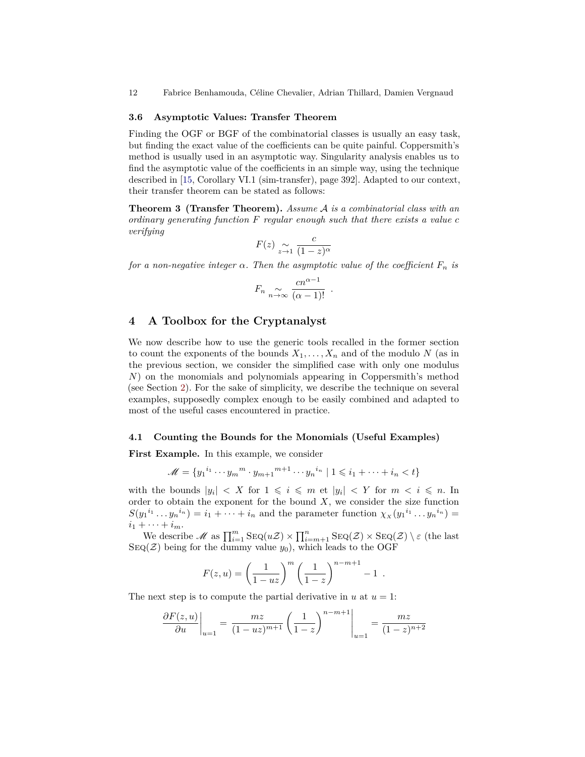12 Fabrice Benhamouda, Céline Chevalier, Adrian Thillard, Damien Vergnaud

### **3.6 Asymptotic Values: Transfer Theorem**

Finding the OGF or BGF of the combinatorial classes is usually an easy task, but finding the exact value of the coefficients can be quite painful. Coppersmith's method is usually used in an asymptotic way. Singularity analysis enables us to find the asymptotic value of the coefficients in an simple way, using the technique described in [\[15,](#page-28-9) Corollary VI.1 (sim-transfer), page 392]. Adapted to our context, their transfer theorem can be stated as follows:

<span id="page-11-1"></span>**Theorem 3 (Transfer Theorem).** *Assume* A *is a combinatorial class with an ordinary generating function F regular enough such that there exists a value c verifying*

$$
F(z) \underset{z \to 1}{\sim} \frac{c}{(1-z)^{\alpha}}
$$

*for a non-negative integer*  $\alpha$ *. Then the asymptotic value of the coefficient*  $F_n$  *is* 

$$
F_n \underset{n \to \infty}{\sim} \frac{cn^{\alpha - 1}}{(\alpha - 1)!} .
$$

# <span id="page-11-0"></span>**4 A Toolbox for the Cryptanalyst**

We now describe how to use the generic tools recalled in the former section to count the exponents of the bounds  $X_1, \ldots, X_n$  and of the modulo N (as in the previous section, we consider the simplified case with only one modulus *N*) on the monomials and polynomials appearing in Coppersmith's method (see Section [2\)](#page-3-0). For the sake of simplicity, we describe the technique on several examples, supposedly complex enough to be easily combined and adapted to most of the useful cases encountered in practice.

### **4.1 Counting the Bounds for the Monomials (Useful Examples)**

**First Example.** In this example, we consider

$$
\mathcal{M} = \{y_1^{i_1} \cdots y_m^{m} \cdot y_{m+1}^{m+1} \cdots y_n^{i_n} \mid 1 \leq i_1 + \cdots + i_n < t\}
$$

with the bounds  $|y_i| < X$  for  $1 \leq i \leq m$  et  $|y_i| < Y$  for  $m < i \leq n$ . In order to obtain the exponent for the bound  $X$ , we consider the size function  $S(y_1^{i_1} \ldots y_n^{i_n}) = i_1 + \cdots + i_n$  and the parameter function  $\chi_x(y_1^{i_1} \ldots y_n^{i_n}) =$  $i_1 + \cdots + i_m$ .

We describe  $\mathscr{M}$  as  $\prod_{i=1}^{m} \text{SEQ}(uZ) \times \prod_{i=m+1}^{n} \text{SEQ}(Z) \times \text{SEQ}(Z) \setminus \varepsilon$  (the last  $\text{Seq}(\mathcal{Z})$  being for the dummy value  $y_0$ ), which leads to the OGF

$$
F(z, u) = \left(\frac{1}{1 - uz}\right)^m \left(\frac{1}{1 - z}\right)^{n - m + 1} - 1.
$$

The next step is to compute the partial derivative in  $u$  at  $u = 1$ :

$$
\frac{\partial F(z, u)}{\partial u}\bigg|_{u=1} = \frac{mz}{(1 - uz)^{m+1}} \left(\frac{1}{1 - z}\right)^{n - m + 1}\bigg|_{u=1} = \frac{mz}{(1 - z)^{n+2}}
$$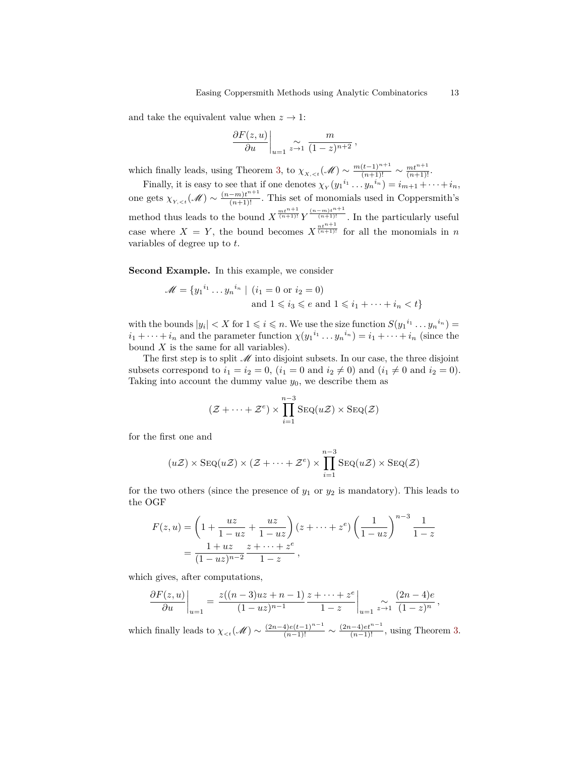and take the equivalent value when  $z \to 1$ :

$$
\left. \frac{\partial F(z, u)}{\partial u} \right|_{u=1} \underset{z \to 1}{\sim} \frac{m}{(1-z)^{n+2}},
$$

which finally leads, using Theorem [3,](#page-11-1) to  $\chi_{X, \leq t}(\mathcal{M}) \sim \frac{m(t-1)^{n+1}}{(n+1)!} \sim \frac{mt^{n+1}}{(n+1)!}$ .

Finally, it is easy to see that if one denotes  $\chi_Y(y_1^{i_1} \dots y_n^{i_n}) = i_{m+1} + \dots + i_n$ , one gets  $\chi_{Y, \lt t}(\mathcal{M}) \sim \frac{(n-m)t^{n+1}}{(n+1)!}$ . This set of monomials used in Coppersmith's method thus leads to the bound  $X^{\frac{mt^{n+1}}{(n+1)!}} Y^{\frac{(n-m)t^{n+1}}{(n+1)!}}$ . In the particularly useful case where  $X = Y$ , the bound becomes  $X^{\frac{nt^{n+1}}{(n+1)!}}$  for all the monomials in *n* variables of degree up to *t*.

**Second Example.** In this example, we consider

$$
\mathcal{M} = \{y_1^{i_1} \dots y_n^{i_n} \mid (i_1 = 0 \text{ or } i_2 = 0)
$$
  
and  $1 \le i_3 \le e$  and  $1 \le i_1 + \dots + i_n < t\}$ 

with the bounds  $|y_i| < X$  for  $1 \leq i \leq n$ . We use the size function  $S(y_1^{i_1} \dots y_n^{i_n}) =$  $i_1 + \cdots + i_n$  and the parameter function  $\chi(y_1^{i_1} \ldots y_n^{i_n}) = i_1 + \cdots + i_n$  (since the bound *X* is the same for all variables).

The first step is to split  $M$  into disjoint subsets. In our case, the three disjoint subsets correspond to  $i_1 = i_2 = 0$ ,  $(i_1 = 0 \text{ and } i_2 \neq 0)$  and  $(i_1 \neq 0 \text{ and } i_2 = 0)$ . Taking into account the dummy value  $y_0$ , we describe them as

$$
(\mathcal{Z} + \cdots + \mathcal{Z}^e) \times \prod_{i=1}^{n-3} \text{Seq}(u\mathcal{Z}) \times \text{Seq}(\mathcal{Z})
$$

for the first one and

$$
(u\mathcal{Z}) \times \text{Seq}(u\mathcal{Z}) \times (\mathcal{Z} + \cdots + \mathcal{Z}^e) \times \prod_{i=1}^{n-3} \text{Seq}(u\mathcal{Z}) \times \text{Seq}(\mathcal{Z})
$$

for the two others (since the presence of  $y_1$  or  $y_2$  is mandatory). This leads to the OGF

$$
F(z, u) = \left(1 + \frac{uz}{1 - uz} + \frac{uz}{1 - uz}\right)(z + \dots + z^e) \left(\frac{1}{1 - uz}\right)^{n-3} \frac{1}{1 - z}
$$
  
= 
$$
\frac{1 + uz}{(1 - uz)^{n-2}} \frac{z + \dots + z^e}{1 - z},
$$

which gives, after computations,

$$
\frac{\partial F(z, u)}{\partial u}\bigg|_{u=1} = \frac{z((n-3)uz + n-1)}{(1-uz)^{n-1}} \frac{z + \dots + z^e}{1-z}\bigg|_{u=1} \underset{z \to 1}{\sim} \frac{(2n-4)e}{(1-z)^n},
$$

which finally leads to  $\chi_{\lt t}(\mathscr{M}) \sim \frac{(2n-4)e(t-1)^{n-1}}{(n-1)!} \sim \frac{(2n-4)e^{t^{n-1}}}{(n-1)!}$ , using Theorem [3.](#page-11-1)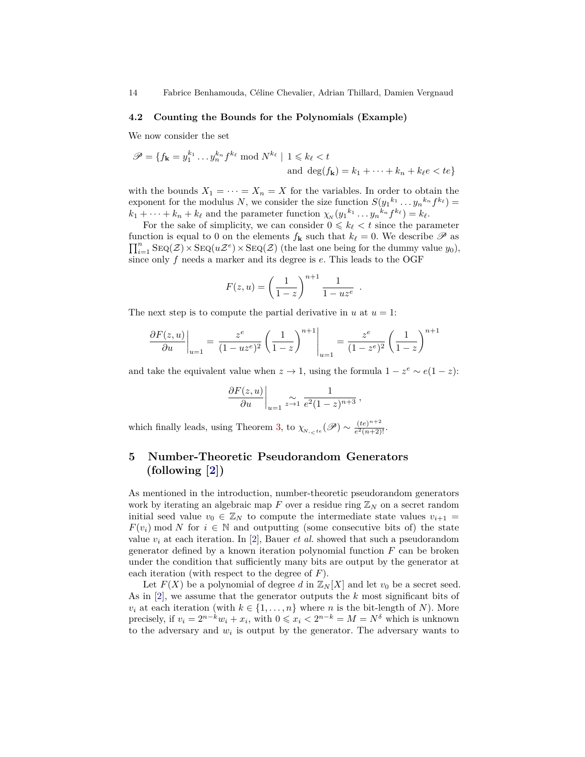### <span id="page-13-0"></span>**4.2 Counting the Bounds for the Polynomials (Example)**

We now consider the set

$$
\mathscr{P} = \{ f_{\mathbf{k}} = y_1^{k_1} \dots y_n^{k_n} f^{k_\ell} \text{ mod } N^{k_\ell} \mid 1 \leq k_\ell < t
$$
\n
$$
\text{and } \deg(f_{\mathbf{k}}) = k_1 + \dots + k_n + k_\ell e < t e \}
$$

with the bounds  $X_1 = \cdots = X_n = X$  for the variables. In order to obtain the exponent for the modulus *N*, we consider the size function  $S(y_1^{k_1} \dots y_n^{k_n} f^{k_\ell}) =$  $k_1 + \cdots + k_n + k_\ell$  and the parameter function  $\chi_N(y_1^{k_1} \ldots y_n^{k_n} f^{k_\ell}) = k_\ell$ .

For the sake of simplicity, we can consider  $0 \leq k_{\ell} < t$  since the parameter function is equal to 0 on the elements  $f_{\mathbf{k}}$  such that  $k_{\ell} = 0$ . We describe  $\mathscr{P}$  as  $\prod_{i=1}^{n} \text{SEQ}(\mathcal{Z}) \times \text{SEQ}(u\mathcal{Z}^e) \times \text{SEQ}(\mathcal{Z})$  (the last one being for the dummy value *y*<sub>0</sub>), since only *f* needs a marker and its degree is *e*. This leads to the OGF

$$
F(z, u) = \left(\frac{1}{1-z}\right)^{n+1} \frac{1}{1-uz^e} .
$$

The next step is to compute the partial derivative in  $u$  at  $u = 1$ :

$$
\frac{\partial F(z, u)}{\partial u}\bigg|_{u=1} = \frac{z^e}{(1 - u z^e)^2} \left(\frac{1}{1 - z}\right)^{n+1} \bigg|_{u=1} = \frac{z^e}{(1 - z^e)^2} \left(\frac{1}{1 - z}\right)^{n+1}
$$

and take the equivalent value when  $z \to 1$ , using the formula  $1 - z^e \sim e(1 - z)$ :

$$
\left. \frac{\partial F(z, u)}{\partial u} \right|_{u=1} \underset{z \to 1}{\sim} \frac{1}{e^2 (1-z)^{n+3}},
$$

which finally leads, using Theorem [3,](#page-11-1) to  $\chi_{N, \leq t}(\mathscr{P}) \sim \frac{(te)^{n+2}}{e^2(n+2)}$  $\frac{(te)}{e^2(n+2)!}$ .

# **5 Number-Theoretic Pseudorandom Generators (following [\[2\]](#page-28-3))**

As mentioned in the introduction, number-theoretic pseudorandom generators work by iterating an algebraic map  $F$  over a residue ring  $\mathbb{Z}_N$  on a secret random initial seed value  $v_0 \in \mathbb{Z}_N$  to compute the intermediate state values  $v_{i+1} =$  $F(v_i) \mod N$  for  $i \in \mathbb{N}$  and outputting (some consecutive bits of) the state value  $v_i$  at each iteration. In [\[2\]](#page-28-3), Bauer *et al.* showed that such a pseudorandom generator defined by a known iteration polynomial function *F* can be broken under the condition that sufficiently many bits are output by the generator at each iteration (with respect to the degree of *F*).

Let  $F(X)$  be a polynomial of degree *d* in  $\mathbb{Z}_N[X]$  and let  $v_0$  be a secret seed. As in [\[2\]](#page-28-3), we assume that the generator outputs the *k* most significant bits of  $v_i$  at each iteration (with  $k \in \{1, \ldots, n\}$  where *n* is the bit-length of *N*). More precisely, if  $v_i = 2^{n-k}w_i + x_i$ , with  $0 \leq x_i < 2^{n-k} = M = N^{\delta}$  which is unknown to the adversary and  $w_i$  is output by the generator. The adversary wants to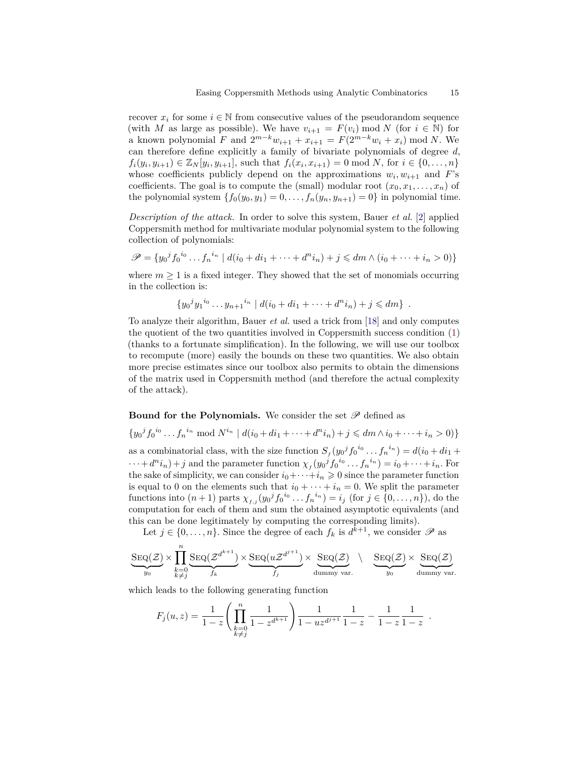recover  $x_i$  for some  $i \in \mathbb{N}$  from consecutive values of the pseudorandom sequence (with *M* as large as possible). We have  $v_{i+1} = F(v_i) \text{ mod } N$  (for  $i \in \mathbb{N}$ ) for a known polynomial *F* and  $2^{m-k}w_{i+1} + x_{i+1} = F(2^{m-k}w_i + x_i) \mod N$ . We can therefore define explicitly a family of bivariate polynomials of degree *d*,  $f_i(y_i, y_{i+1}) \in \mathbb{Z}_N[y_i, y_{i+1}],$  such that  $f_i(x_i, x_{i+1}) = 0 \text{ mod } N$ , for  $i \in \{0, ..., n\}$ whose coefficients publicly depend on the approximations  $w_i, w_{i+1}$  and  $F$ 's coefficients. The goal is to compute the (small) modular root  $(x_0, x_1, \ldots, x_n)$  of the polynomial system  $\{f_0(y_0, y_1) = 0, \ldots, f_n(y_n, y_{n+1}) = 0\}$  in polynomial time.

*Description of the attack.* In order to solve this system, Bauer *et al.* [\[2\]](#page-28-3) applied Coppersmith method for multivariate modular polynomial system to the following collection of polynomials:

$$
\mathscr{P} = \{ y_0^j f_0^{i_0} \dots f_n^{i_n} \mid d(i_0 + di_1 + \dots + d^n i_n) + j \leq d m \land (i_0 + \dots + i_n > 0) \}
$$

where  $m \geq 1$  is a fixed integer. They showed that the set of monomials occurring in the collection is:

$$
\{y_0^jy_1^{i_0}\ldots y_{n+1}^{i_n} | d(i_0+di_1+\cdots + d^ni_n)+j\leqslant dm\} .
$$

To analyze their algorithm, Bauer *et al.* used a trick from [\[18\]](#page-29-5) and only computes the quotient of the two quantities involved in Coppersmith success condition [\(1\)](#page-5-0) (thanks to a fortunate simplification). In the following, we will use our toolbox to recompute (more) easily the bounds on these two quantities. We also obtain more precise estimates since our toolbox also permits to obtain the dimensions of the matrix used in Coppersmith method (and therefore the actual complexity of the attack).

# **Bound for the Polynomials.** We consider the set  $\mathscr P$  defined as

 $\{y_0{}^j f_0{}^{i_0} \dots f_n{}^{i_n} \bmod N^{i_n} \mid d(i_0 + di_1 + \dots + d^n i_n) + j \leq d m \wedge i_0 + \dots + i_n > 0)\}$ as a combinatorial class, with the size function  $S_f(y_0^j f_0^{i_0} \dots f_n^{i_n}) = d(i_0 + di_1 +$  $\dots + d^n i_n$  + *j* and the parameter function  $\chi_f(y_0 \, j \, f_0 \, i_0 \, \dots \, f_n \, i_n) = i_0 + \dots + i_n$ . For the sake of simplicity, we can consider  $i_0+\cdots+i_n\geq 0$  since the parameter function is equal to 0 on the elements such that  $i_0 + \cdots + i_n = 0$ . We split the parameter functions into  $(n+1)$  parts  $\chi_{f,j}(y_0^j f_0^{i_0} \dots f_n^{i_n}) = i_j$  (for  $j \in \{0, \dots, n\}$ ), do the computation for each of them and sum the obtained asymptotic equivalents (and this can be done legitimately by computing the corresponding limits).

Let  $j \in \{0, \ldots, n\}$ . Since the degree of each  $f_k$  is  $d^{k+1}$ , we consider  $\mathscr P$  as Y*n*

$$
\underbrace{\text{Seq}(\mathcal{Z})}_{y_0} \times \prod_{\substack{k=0 \\ k \neq j}} \underbrace{\text{Seq}(\mathcal{Z}^{d^{k+1}})}_{f_k} \times \underbrace{\text{Seq}(u\mathcal{Z}^{d^{j+1}})}_{f_j} \times \underbrace{\text{Seq}(\mathcal{Z})}_{\text{dummy var.}} \quad \backslash \quad \underbrace{\text{Seq}(\mathcal{Z})}_{y_0} \times \underbrace{\text{Seq}(\mathcal{Z})}_{\text{dummy var.}}
$$

which leads to the following generating function

$$
F_j(u, z) = \frac{1}{1-z} \left( \prod_{\substack{k=0 \\ k \neq j}}^n \frac{1}{1-z^{d^{k+1}}} \right) \frac{1}{1-uz^{d^{j+1}}} \frac{1}{1-z} - \frac{1}{1-z} \frac{1}{1-z}.
$$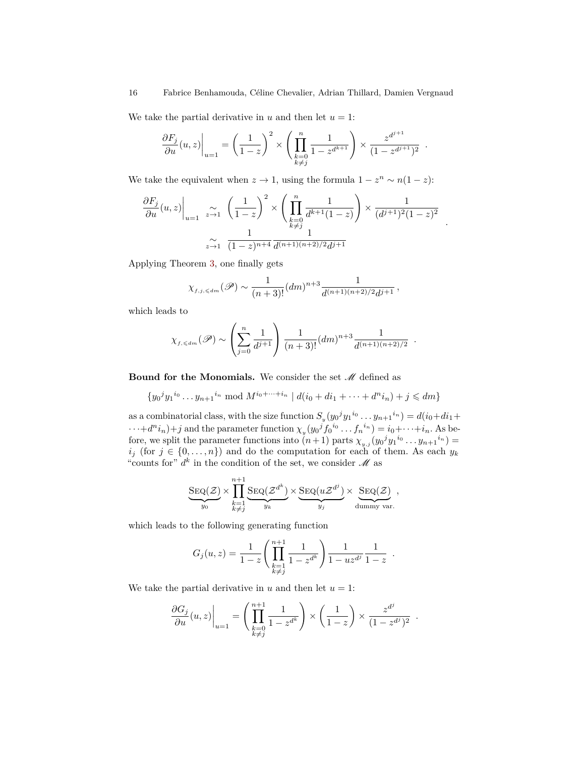We take the partial derivative in  $u$  and then let  $u = 1$ :

$$
\frac{\partial F_j}{\partial u}(u, z)\Big|_{u=1} = \left(\frac{1}{1-z}\right)^2 \times \left(\prod_{\substack{k=0 \ k \neq j}}^n \frac{1}{1-z^{d^{k+1}}}\right) \times \frac{z^{d^{j+1}}}{(1-z^{d^{j+1}})^2} .
$$

We take the equivalent when  $z \to 1$ , using the formula  $1 - z^n \sim n(1 - z)$ :

$$
\frac{\partial F_j}{\partial u}(u, z)\Big|_{u=1} \quad \sum_{z \to 1} \quad \left(\frac{1}{1-z}\right)^2 \times \left(\prod_{\substack{k=0 \\ k \neq j}}^n \frac{1}{d^{k+1}(1-z)}\right) \times \frac{1}{(d^{j+1})^2 (1-z)^2}
$$

$$
\sum_{z \to 1} \quad \frac{1}{(1-z)^{n+4}} \frac{1}{d^{(n+1)(n+2)/2} d^{j+1}}
$$

*.*

*.*

Applying Theorem [3,](#page-11-1) one finally gets

$$
\chi_{f,j,\leq dm}(\mathscr{P}) \sim \frac{1}{(n+3)!} (dm)^{n+3} \frac{1}{d^{(n+1)(n+2)/2} d^{j+1}},
$$

which leads to

$$
\chi_{f, \leq dm}(\mathscr{P}) \sim \left(\sum_{j=0}^{n} \frac{1}{d^{j+1}}\right) \frac{1}{(n+3)!} (dm)^{n+3} \frac{1}{d^{(n+1)(n+2)/2}}
$$

**Bound for the Monomials.** We consider the set  $\mathcal{M}$  defined as

$$
\{y_0^j y_1^{i_0} \dots y_{n+1}^{i_n} \bmod M^{i_0 + \dots + i_n} \mid d(i_0 + di_1 + \dots + d^n i_n) + j \leq dm\}
$$

as a combinatorial class, with the size function  $S_y(y_0^j y_1^{i_0} \dots y_{n+1}^{i_n}) = d(i_0 + di_1 +$  $\cdots + d^n i_n$  + *j* and the parameter function  $\chi_y(y_0^j f_0^{i_0} \dots f_n^{i_n}) = i_0 + \cdots + i_n$ . As before, we split the parameter functions into  $(n+1)$  parts  $\chi_{y,j}(y_0^j y_1^{i_0} \dots y_{n+1}^{i_n}) =$  $i_j$  (for  $j \in \{0, \ldots, n\}$ ) and do the computation for each of them. As each  $y_k$ "counts for"  $d^k$  in the condition of the set, we consider  $\mathcal M$  as

$$
\underbrace{\mathrm{SEQ}(\mathcal{Z})}_{y_0} \times \prod_{\substack{k=1\\k \neq j}}^{n+1} \underbrace{\mathrm{SEQ}(\mathcal{Z}^{d^k})}_{y_k} \times \underbrace{\mathrm{SEQ}(u\mathcal{Z}^{d^j})}_{y_j} \times \underbrace{\mathrm{SEQ}(\mathcal{Z})}_{\mathrm{dummy\; var.}},
$$

which leads to the following generating function

$$
G_j(u, z) = \frac{1}{1-z} \left( \prod_{\substack{k=1 \ k \neq j}}^{n+1} \frac{1}{1-z^{d^k}} \right) \frac{1}{1-uz^{d^j}} \frac{1}{1-z} .
$$

We take the partial derivative in  $u$  and then let  $u = 1$ :

$$
\left. \frac{\partial G_j}{\partial u}(u, z) \right|_{u=1} = \left( \prod_{\substack{k=0 \ k \neq j}}^{n+1} \frac{1}{1 - z^{d^k}} \right) \times \left( \frac{1}{1 - z} \right) \times \frac{z^{d^j}}{(1 - z^{d^j})^2} .
$$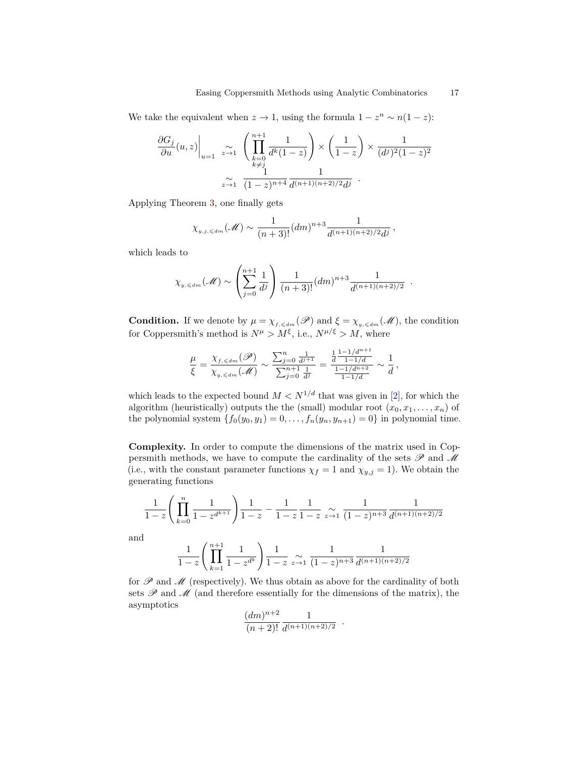#### Easing Coppersmith Methods using Analytic Combinatorics 17

We take the equivalent when  $z \to 1$ , using the formula  $1 - z^n \sim n(1 - z)$ :

$$
\frac{\partial G_j}{\partial u}(u, z)\Big|_{u=1} \underset{z \to 1}{\sim} \left(\prod_{\substack{k=0 \\ k \neq j}}^{n+1} \frac{1}{d^k (1-z)}\right) \times \left(\frac{1}{1-z}\right) \times \frac{1}{(d^j)^2 (1-z)^2}
$$

$$
\underset{z \to 1}{\sim} \frac{1}{(1-z)^{n+4}} \frac{1}{d^{(n+1)(n+2)/2} d^j}.
$$

Applying Theorem [3,](#page-11-1) one finally gets

$$
\chi_{y,j,\leq dm}(\mathscr{M}) \sim \frac{1}{(n+3)!} (dm)^{n+3} \frac{1}{d^{(n+1)(n+2)/2} d^j}
$$

which leads to

$$
\chi_{y,\leq dm}(\mathscr{M}) \sim \left(\sum_{j=0}^{n+1} \frac{1}{d^j}\right) \frac{1}{(n+3)!} (dm)^{n+3} \frac{1}{d^{(n+1)(n+2)/2}}.
$$

**Condition.** If we denote by  $\mu = \chi_{f, \leq d_m}(\mathscr{P})$  and  $\xi = \chi_{y, \leq d_m}(\mathscr{M})$ , the condition for Coppersmith's method is  $N^{\mu} > M^{\xi}$ , i.e.,  $N^{\mu/\xi} > M$ , where

$$
\frac{\mu}{\xi} = \frac{\chi_{f,\leq dm}(\mathscr{P})}{\chi_{y,\leq dm}(\mathscr{M})} \sim \frac{\sum_{j=0}^{n} \frac{1}{d^{j+1}}}{\sum_{j=0}^{n+1} \frac{1}{d^{j}}} = \frac{\frac{1}{d} \frac{1-1/d^{n+1}}{1-1/d}}{\frac{1-1/d^{n+2}}{1-1/d}} \sim \frac{1}{d},
$$

which leads to the expected bound  $M < N^{1/d}$  that was given in [\[2\]](#page-28-3), for which the algorithm (heuristically) outputs the the (small) modular root  $(x_0, x_1, \ldots, x_n)$  of the polynomial system  $\{f_0(y_0, y_1) = 0, \ldots, f_n(y_n, y_{n+1}) = 0\}$  in polynomial time.

**Complexity.** In order to compute the dimensions of the matrix used in Coppersmith methods, we have to compute the cardinality of the sets  $\mathscr P$  and  $\mathscr M$ (i.e., with the constant parameter functions  $\chi_f = 1$  and  $\chi_{y,j} = 1$ ). We obtain the generating functions

$$
\frac{1}{1-z} \left( \prod_{k=0}^{n} \frac{1}{1-z^{d^{k+1}}} \right) \frac{1}{1-z} - \frac{1}{1-z} \frac{1}{1-z} \underset{z \to 1}{\sim} \frac{1}{(1-z)^{n+3}} \frac{1}{d^{(n+1)(n+2)/2}}
$$

and

$$
\frac{1}{1-z} \left( \prod_{k=1}^{n+1} \frac{1}{1-z^{d^k}} \right) \frac{1}{1-z} \underset{z \to 1}{\sim} \frac{1}{(1-z)^{n+3}} \frac{1}{d^{(n+1)(n+2)/2}}
$$

for  $\mathscr P$  and  $\mathscr M$  (respectively). We thus obtain as above for the cardinality of both sets  $\mathscr P$  and  $\mathscr M$  (and therefore essentially for the dimensions of the matrix), the asymptotics

$$
\frac{(dm)^{n+2}}{(n+2)!} \frac{1}{d^{(n+1)(n+2)/2}}.
$$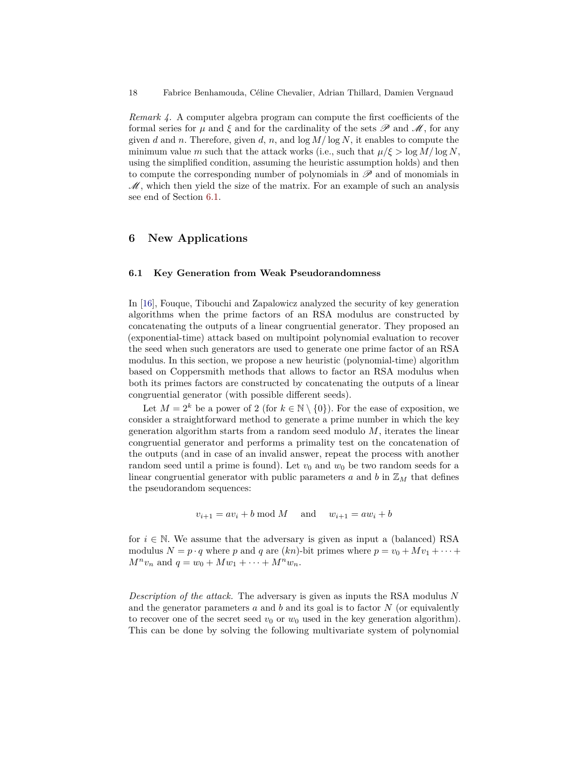*Remark 4.* A computer algebra program can compute the first coefficients of the formal series for  $\mu$  and  $\xi$  and for the cardinality of the sets  $\mathscr P$  and  $\mathscr M$ , for any given *d* and *n*. Therefore, given *d*, *n*, and  $\log M / \log N$ , it enables to compute the minimum value *m* such that the attack works (i.e., such that  $\mu/\xi > \log M/\log N$ , using the simplified condition, assuming the heuristic assumption holds) and then to compute the corresponding number of polynomials in  $\mathscr P$  and of monomials in  $\mathscr{M}$ , which then yield the size of the matrix. For an example of such an analysis see end of Section [6.1.](#page-17-0)

# **6 New Applications**

## <span id="page-17-0"></span>**6.1 Key Generation from Weak Pseudorandomness**

In [\[16\]](#page-29-7), Fouque, Tibouchi and Zapalowicz analyzed the security of key generation algorithms when the prime factors of an RSA modulus are constructed by concatenating the outputs of a linear congruential generator. They proposed an (exponential-time) attack based on multipoint polynomial evaluation to recover the seed when such generators are used to generate one prime factor of an RSA modulus. In this section, we propose a new heuristic (polynomial-time) algorithm based on Coppersmith methods that allows to factor an RSA modulus when both its primes factors are constructed by concatenating the outputs of a linear congruential generator (with possible different seeds).

Let  $M = 2^k$  be a power of 2 (for  $k \in \mathbb{N} \setminus \{0\}$ ). For the ease of exposition, we consider a straightforward method to generate a prime number in which the key generation algorithm starts from a random seed modulo *M*, iterates the linear congruential generator and performs a primality test on the concatenation of the outputs (and in case of an invalid answer, repeat the process with another random seed until a prime is found). Let  $v_0$  and  $w_0$  be two random seeds for a linear congruential generator with public parameters  $a$  and  $b$  in  $\mathbb{Z}_M$  that defines the pseudorandom sequences:

$$
v_{i+1} = av_i + b \mod M \quad \text{and} \quad w_{i+1} = aw_i + b
$$

for  $i \in \mathbb{N}$ . We assume that the adversary is given as input a (balanced) RSA modulus  $N = p \cdot q$  where *p* and *q* are  $(kn)$ -bit primes where  $p = v_0 + Mv_1 + \cdots$  $M^n v_n$  and  $q = w_0 + Mw_1 + \cdots + M^n w_n$ .

*Description of the attack.* The adversary is given as inputs the RSA modulus *N* and the generator parameters *a* and *b* and its goal is to factor *N* (or equivalently to recover one of the secret seed  $v_0$  or  $w_0$  used in the key generation algorithm). This can be done by solving the following multivariate system of polynomial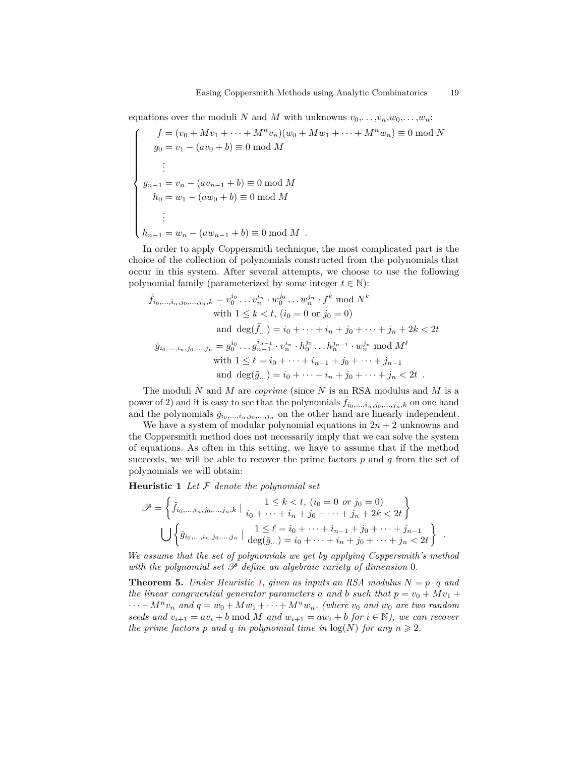equations over the moduli *N* and *M* with unknowns  $v_0, \ldots, v_n, w_0, \ldots, w_n$ :

$$
\begin{cases}\nf = (v_0 + Mv_1 + \dots + M^n v_n)(w_0 + Mw_1 + \dots + M^n w_n) \equiv 0 \mod N \\
g_0 = v_1 - (av_0 + b) \equiv 0 \mod M \\
\vdots \\
g_{n-1} = v_n - (av_{n-1} + b) \equiv 0 \mod M \\
h_0 = w_1 - (aw_0 + b) \equiv 0 \mod M \\
\vdots \\
h_{n-1} = w_n - (aw_{n-1} + b) \equiv 0 \mod M\n\end{cases}
$$

In order to apply Coppersmith technique, the most complicated part is the choice of the collection of polynomials constructed from the polynomials that occur in this system. After several attempts, we choose to use the following polynomial family (parameterized by some integer  $t \in \mathbb{N}$ ):

$$
\tilde{f}_{i_0,\dots,i_n,j_0,\dots,j_n,k} = v_0^{i_0} \dots v_n^{i_n} \cdot w_0^{j_0} \dots w_n^{j_n} \cdot f^k \mod N^k
$$
  
\nwith  $1 \le k < t$ ,  $(i_0 = 0 \text{ or } j_0 = 0)$   
\nand  $\deg(\tilde{f}_{\dots}) = i_0 + \dots + i_n + j_0 + \dots + j_n + 2k < 2t$   
\n $\tilde{g}_{i_0,\dots,i_n,j_0,\dots,j_n} = g_0^{i_0} \dots g_{n-1}^{i_{n-1}} \cdot v_n^{i_n} \cdot h_0^{j_0} \dots h_n^{j_{n-1}} \cdot w_n^{j_n} \mod M^\ell$   
\nwith  $1 \le \ell = i_0 + \dots + i_{n-1} + j_0 + \dots + j_{n-1}$   
\nand  $\deg(\tilde{g}_{\dots}) = i_0 + \dots + i_n + j_0 + \dots + j_n < 2t$ .

The moduli *N* and *M* are *coprime* (since *N* is an RSA modulus and *M* is a power of 2) and it is easy to see that the polynomials  $\tilde{f}_{i_0,\dots,i_n,j_0,\dots,j_n,k}$  on one hand and the polynomials  $\tilde{g}_{i_0,\dots,i_n,j_0,\dots,j_n}$  on the other hand are linearly independent.

We have a system of modular polynomial equations in  $2n + 2$  unknowns and the Coppersmith method does not necessarily imply that we can solve the system of equations. As often in this setting, we have to assume that if the method succeeds, we will be able to recover the prime factors *p* and *q* from the set of polynomials we will obtain:

**Heuristic 1** *Let* F *denote the polynomial set*

<span id="page-18-0"></span>
$$
\mathscr{P} = \left\{ \tilde{f}_{i_0,\dots,i_n,j_0,\dots,j_n,k} \mid \begin{array}{c} 1 \leq k < t, \ (i_0 = 0 \text{ or } j_0 = 0) \\ i_0 + \dots + i_n + j_0 + \dots + j_n + 2k < 2t \end{array} \right\}
$$
\n
$$
\bigcup \left\{ \tilde{g}_{i_0,\dots,i_n,j_0,\dots,j_n} \mid \begin{array}{c} 1 \leq \ell = i_0 + \dots + i_{n-1} + j_0 + \dots + j_{n-1} \\ \deg(\tilde{g}_{\dots}) = i_0 + \dots + i_n + j_0 + \dots + j_n < 2t \end{array} \right\} .
$$

*We assume that the set of polynomials we get by applying Coppersmith's method with the polynomial set*  $\mathscr P$  *define an algebraic variety of dimension* 0*.* 

**Theorem 5.** *Under Heuristic [1,](#page-18-0) given as inputs an RSA modulus*  $N = p \cdot q$  *and the linear congruential generator parameters a and b such that*  $p = v_0 + Mv_1 +$  $\cdots + M^n v_n$  and  $q = w_0 + Mw_1 + \cdots + M^n w_n$ . (where  $v_0$  and  $w_0$  are two random *seeds and*  $v_{i+1} = av_i + b \mod M$  *and*  $w_{i+1} = aw_i + b$  *for*  $i \in \mathbb{N}$ *), we can recover the prime factors*  $p$  *and*  $q$  *in polynomial time in*  $log(N)$  *for any*  $n \ge 2$ *.*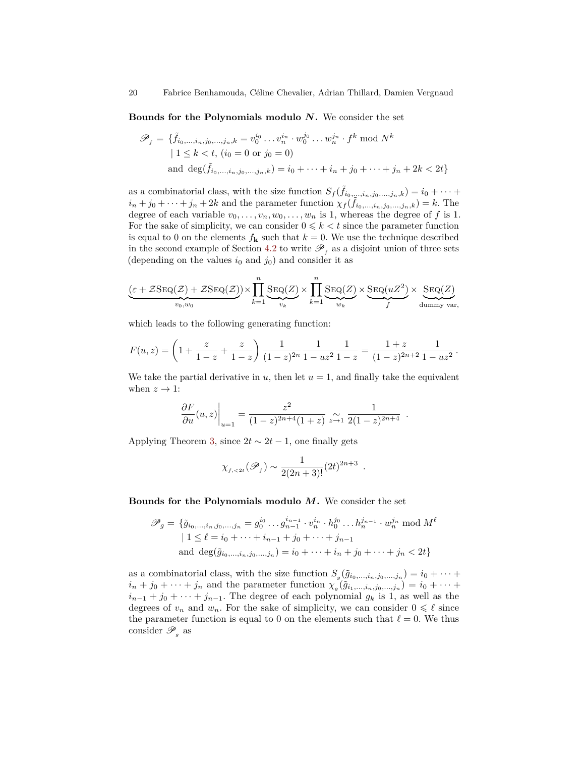**Bounds for the Polynomials modulo** *N***.** We consider the set

$$
\mathscr{P}_f = \{ \tilde{f}_{i_0, \dots, i_n, j_0, \dots, j_n, k} = v_0^{i_0} \dots v_n^{i_n} \cdot w_0^{j_0} \dots w_n^{j_n} \cdot f^k \mod N^k
$$
  
\n
$$
| 1 \le k < t, (i_0 = 0 \text{ or } j_0 = 0)
$$
  
\nand 
$$
\deg(\tilde{f}_{i_0, \dots, i_n, j_0, \dots, j_n, k}) = i_0 + \dots + i_n + j_0 + \dots + j_n + 2k < 2t \}
$$

as a combinatorial class, with the size function  $S_f(\tilde{f}_{i_0,\ldots,i_n,j_0,\ldots,j_n,k}) = i_0 + \cdots +$  $i_n + j_0 + \cdots + j_n + 2k$  and the parameter function  $\chi_f(\tilde{f}_{i_0,\ldots,i_n,j_0,\ldots,j_n,k}) = k$ . The degree of each variable  $v_0, \ldots, v_n, w_0, \ldots, w_n$  is 1, whereas the degree of f is 1. For the sake of simplicity, we can consider  $0 \leq k < t$  since the parameter function is equal to 0 on the elements  $f_{\mathbf{k}}$  such that  $k = 0$ . We use the technique described in the second example of Section [4.2](#page-13-0) to write  $\mathscr{P}_f$  as a disjoint union of three sets (depending on the values  $i_0$  and  $j_0$ ) and consider it as

$$
\underbrace{(\varepsilon + Z \text{Seq}(\mathcal{Z}) + Z \text{Seq}(\mathcal{Z}))}_{v_0,w_0} \times \prod_{k=1}^n \underbrace{\text{Seq}(Z)}_{v_k} \times \prod_{k=1}^n \underbrace{\text{Seq}(Z)}_{w_k} \times \underbrace{\text{Seq}(uZ^2)}_{f} \times \underbrace{\text{Seq}(Z)}_{\text{dummy var}},
$$

which leads to the following generating function:

$$
F(u,z) = \left(1 + \frac{z}{1-z} + \frac{z}{1-z}\right) \frac{1}{(1-z)^{2n}} \frac{1}{1-uz^2} \frac{1}{1-z} = \frac{1+z}{(1-z)^{2n+2}} \frac{1}{1-uz^2}.
$$

We take the partial derivative in  $u$ , then let  $u = 1$ , and finally take the equivalent when  $z \rightarrow 1$ :

$$
\left. \frac{\partial F}{\partial u}(u, z) \right|_{u=1} = \frac{z^2}{(1-z)^{2n+4}(1+z)} \underset{z \to 1}{\sim} \frac{1}{2(1-z)^{2n+4}}.
$$

Applying Theorem [3,](#page-11-1) since  $2t \sim 2t - 1$ , one finally gets

$$
\chi_{f, z_2}(\mathscr{P}_f) \sim \frac{1}{2(2n+3)!} (2t)^{2n+3}
$$

*.*

**Bounds for the Polynomials modulo** *M***.** We consider the set

$$
\mathscr{P}_g = \{ \tilde{g}_{i_0, \dots, i_n, j_0, \dots, j_n} = g_0^{i_0} \dots g_{n-1}^{i_{n-1}} \cdot v_n^{i_n} \cdot h_0^{j_0} \dots h_n^{j_{n-1}} \cdot w_n^{j_n} \text{ mod } M^\ell
$$
  
\n
$$
| 1 \le \ell = i_0 + \dots + i_{n-1} + j_0 + \dots + j_{n-1}
$$
  
\nand 
$$
\deg(\tilde{g}_{i_0, \dots, i_n, j_0, \dots, j_n}) = i_0 + \dots + i_n + j_0 + \dots + j_n < 2t \}
$$

as a combinatorial class, with the size function  $S_g(\tilde{g}_{i_0,\dots,i_n,j_0,\dots,j_n}) = i_0 + \dots$  $i_n + j_0 + \cdots + j_n$  and the parameter function  $\chi_g(\tilde{g}_{i_1,\ldots,i_n,j_0,\ldots,j_n}) = i_0 + \cdots$  $i_{n-1} + j_0 + \cdots + j_{n-1}$ . The degree of each polynomial  $g_k$  is 1, as well as the degrees of  $v_n$  and  $w_n$ . For the sake of simplicity, we can consider  $0 \leq \ell$  since the parameter function is equal to 0 on the elements such that  $\ell = 0$ . We thus consider  $\mathscr{P}_g$  as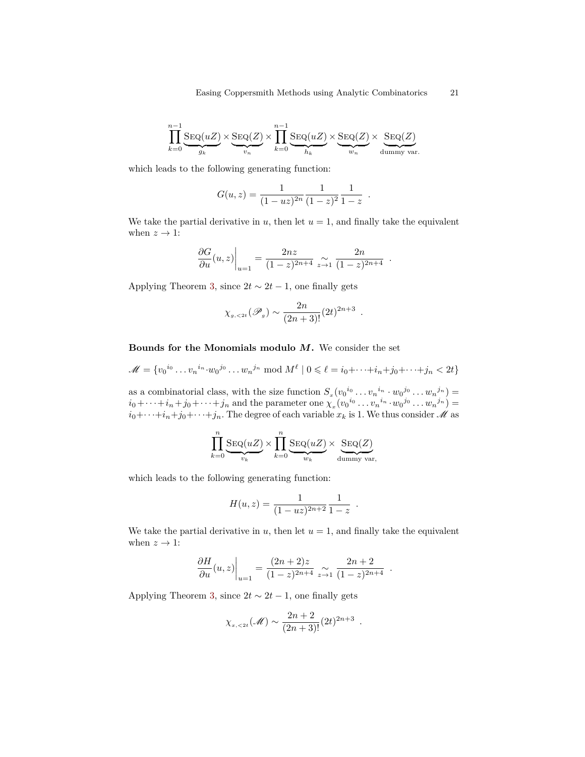$$
\prod_{k=0}^{n-1} \underbrace{\text{SEQ}(uZ)}_{g_k} \times \underbrace{\text{SEQ}(Z)}_{v_n} \times \prod_{k=0}^{n-1} \underbrace{\text{SEQ}(uZ)}_{h_k} \times \underbrace{\text{SEQ}(Z)}_{w_n} \times \underbrace{\text{SEQ}(Z)}_{\text{dummy var.}}
$$

which leads to the following generating function:

$$
G(u, z) = \frac{1}{(1 - uz)^{2n}} \frac{1}{(1 - z)^2} \frac{1}{1 - z}.
$$

We take the partial derivative in  $u$ , then let  $u = 1$ , and finally take the equivalent when  $z \rightarrow 1$ :

$$
\left. \frac{\partial G}{\partial u}(u, z) \right|_{u=1} = \frac{2nz}{(1-z)^{2n+4}} \underset{z \to 1}{\sim} \frac{2n}{(1-z)^{2n+4}}.
$$

Applying Theorem [3,](#page-11-1) since  $2t \sim 2t - 1$ , one finally gets

$$
\chi_{g,\langle 2t}(\mathscr{P}_g) \sim \frac{2n}{(2n+3)!} (2t)^{2n+3}
$$

*.*

*.*

### **Bounds for the Monomials modulo** *M***.** We consider the set

 $M = \{v_0^{i_0} \dots v_n^{i_n} \cdot w_0^{j_0} \dots w_n^{j_n} \text{ mod } M^{\ell} \mid 0 \leq \ell = i_0 + \dots + i_n + j_0 + \dots + j_n < 2t\}$ 

as a combinatorial class, with the size function  $S_x(v_0^{i_0} \dots v_n^{i_n} \cdot w_0^{j_0} \dots w_n^{j_n}) =$  $i_0+\cdots+i_n+j_0+\cdots+j_n$  and the parameter one  $\chi_x(v_0^{i_0}\ldots v_n^{i_n}\cdot w_0^{j_0}\ldots w_n^{j_n})=$  $i_0+\cdots+i_n+j_0+\cdots+j_n$ . The degree of each variable  $x_k$  is 1. We thus consider  $\mathscr M$  as

$$
\prod_{k=0}^{n} \underbrace{\text{Seq}(uZ)}_{v_k} \times \prod_{k=0}^{n} \underbrace{\text{Seq}(uZ)}_{w_k} \times \underbrace{\text{Seq}(Z)}_{\text{dummy var,}}
$$

which leads to the following generating function:

$$
H(u, z) = \frac{1}{(1 - uz)^{2n+2}} \frac{1}{1 - z}
$$

We take the partial derivative in  $u$ , then let  $u = 1$ , and finally take the equivalent when  $z \rightarrow 1$ :

$$
\left. \frac{\partial H}{\partial u}(u, z) \right|_{u=1} = \frac{(2n+2)z}{(1-z)^{2n+4}} \underset{z \to 1}{\sim} \frac{2n+2}{(1-z)^{2n+4}}.
$$

Applying Theorem [3,](#page-11-1) since  $2t \sim 2t - 1$ , one finally gets

$$
\chi_{x,<2t}(\mathscr{M}) \sim \frac{2n+2}{(2n+3)!} (2t)^{2n+3} .
$$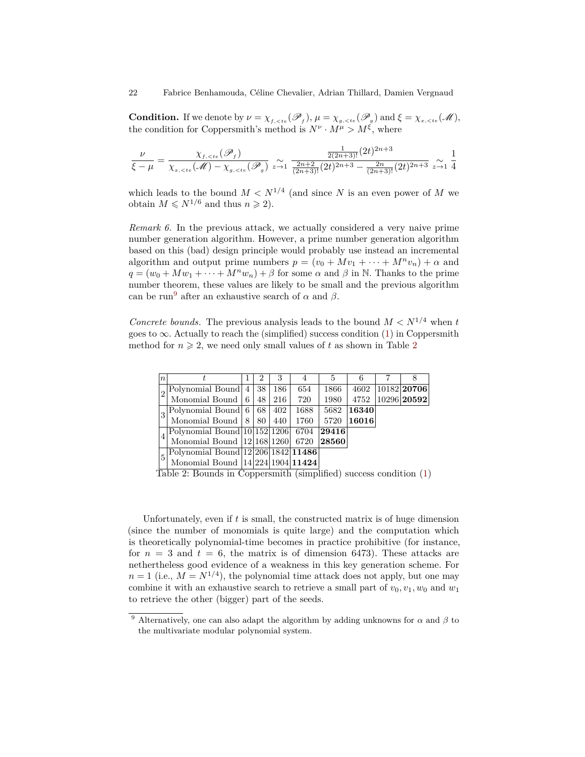**Condition.** If we denote by  $\nu = \chi_{f, \leq t_e}(\mathscr{P}_f), \mu = \chi_{g, \leq t_e}(\mathscr{P}_g)$  and  $\xi = \chi_{x, \leq t_e}(\mathscr{M}),$ the condition for Coppersmith's method is  $N^{\nu} \cdot M^{\mu} > M^{\xi}$ , where

$$
\frac{\nu}{\xi-\mu} = \frac{\chi_{f,
$$

which leads to the bound  $M < N^{1/4}$  (and since N is an even power of M we obtain  $M \leq N^{1/6}$  and thus  $n \geq 2$ ).

*Remark 6.* In the previous attack, we actually considered a very naive prime number generation algorithm. However, a prime number generation algorithm based on this (bad) design principle would probably use instead an incremental algorithm and output prime numbers  $p = (v_0 + Mv_1 + \cdots + M^n v_n) + \alpha$  and  $q = (w_0 + Mw_1 + \cdots + M^n w_n) + \beta$  for some  $\alpha$  and  $\beta$  in N. Thanks to the prime number theorem, these values are likely to be small and the previous algorithm can be run<sup>[9](#page-21-0)</sup> after an exhaustive search of  $\alpha$  and  $\beta$ .

*Concrete bounds.* The previous analysis leads to the bound  $M < N^{1/4}$  when t goes to  $\infty$ . Actually to reach the (simplified) success condition [\(1\)](#page-5-0) in Coppersmith method for  $n \geq 2$  $n \geq 2$ , we need only small values of t as shown in Table 2

<span id="page-21-1"></span>

| $\boldsymbol{n}$ |                                             |  |        | 3   | 4    | 5                    | 6     |                        |
|------------------|---------------------------------------------|--|--------|-----|------|----------------------|-------|------------------------|
|                  | Polynomial Bound 4                          |  | 38     | 186 | 654  | 1866                 | 4602  | $ 10182 $ <b>20706</b> |
|                  | Monomial Bound 6                            |  | 48     | 216 | 720  | 1980                 | 4752  | $ 10296 $ <b>20592</b> |
|                  | Polynomial Bound 6                          |  | $+68+$ | 402 | 1688 | 5682                 | 16340 |                        |
|                  | Monomial Bound   8                          |  | 80     | 440 | 1760 | 5720                 | 16016 |                        |
| 4                | Polynomial Bound $\boxed{10 152 1206}$ 6704 |  |        |     |      | $\left 29416\right $ |       |                        |
|                  | Monomial Bound  12 168 1260  6720           |  |        |     |      | 28560                |       |                        |
| 5                | Polynomial Bound $12 206 1842 11486 $       |  |        |     |      |                      |       |                        |
|                  | Monomial Bound  14 224 1904 11424           |  |        |     |      |                      |       |                        |

Table 2: Bounds in Coppersmith (simplified) success condition [\(1\)](#page-5-0)

Unfortunately, even if *t* is small, the constructed matrix is of huge dimension (since the number of monomials is quite large) and the computation which is theoretically polynomial-time becomes in practice prohibitive (for instance, for  $n = 3$  and  $t = 6$ , the matrix is of dimension 6473). These attacks are nethertheless good evidence of a weakness in this key generation scheme. For  $n = 1$  (i.e.,  $M = N^{1/4}$ ), the polynomial time attack does not apply, but one may combine it with an exhaustive search to retrieve a small part of  $v_0, v_1, w_0$  and  $w_1$ to retrieve the other (bigger) part of the seeds.

<span id="page-21-0"></span><sup>&</sup>lt;sup>9</sup> Alternatively, one can also adapt the algorithm by adding unknowns for  $\alpha$  and  $\beta$  to the multivariate modular polynomial system.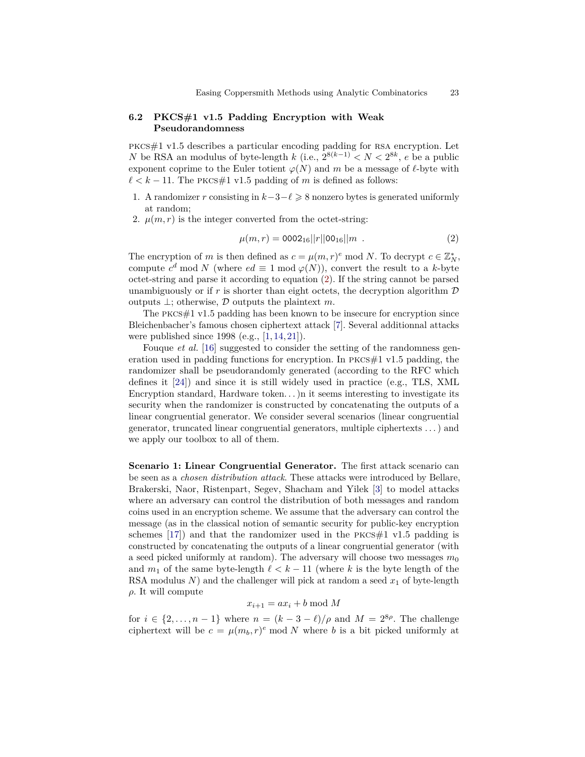# **6.2 PKCS#1 v1.5 Padding Encryption with Weak Pseudorandomness**

pkcs#1 v1.5 describes a particular encoding padding for rsa encryption. Let *N* be RSA an modulus of byte-length *k* (i.e.,  $2^{8(k-1)} < N < 2^{8k}$ , *e* be a public exponent coprime to the Euler totient  $\varphi(N)$  and  $m$  be a message of  $\ell$ -byte with  $\ell < k - 11$ . The PKCS#1 v1.5 padding of *m* is defined as follows:

- 1. A randomizer *r* consisting in  $k-3-\ell \geq 8$  nonzero bytes is generated uniformly at random;
- 2.  $\mu(m,r)$  is the integer converted from the octet-string:

<span id="page-22-0"></span>
$$
\mu(m,r) = 0002_{16} ||r|| 00_{16} ||m . \qquad (2)
$$

The encryption of *m* is then defined as  $c = \mu(m, r)^e \mod N$ . To decrypt  $c \in \mathbb{Z}_N^*$ , compute  $c^d$  mod  $N$  (where  $ed \equiv 1 \mod \varphi(N)$ ), convert the result to a *k*-byte octet-string and parse it according to equation [\(2\)](#page-22-0). If the string cannot be parsed unambiguously or if  $r$  is shorter than eight octets, the decryption algorithm  $\mathcal D$ outputs ⊥; otherwise, D outputs the plaintext *m*.

The pkcs#1 v1.5 padding has been known to be insecure for encryption since Bleichenbacher's famous chosen ciphertext attack [\[7\]](#page-28-10). Several additionnal attacks were published since 1998 (e.g., [\[1,](#page-28-11) [14,](#page-28-12) [21\]](#page-29-12)).

Fouque *et al.* [\[16\]](#page-29-7) suggested to consider the setting of the randomness generation used in padding functions for encryption. In  $PKCS#1$  v1.5 padding, the randomizer shall be pseudorandomly generated (according to the RFC which defines it [\[24\]](#page-29-13)) and since it is still widely used in practice (e.g., TLS, XML Encryption standard, Hardware token...) is seems interesting to investigate its security when the randomizer is constructed by concatenating the outputs of a linear congruential generator. We consider several scenarios (linear congruential generator, truncated linear congruential generators, multiple ciphertexts . . . ) and we apply our toolbox to all of them.

**Scenario 1: Linear Congruential Generator.** The first attack scenario can be seen as a *chosen distribution attack*. These attacks were introduced by Bellare, Brakerski, Naor, Ristenpart, Segev, Shacham and Yilek [\[3\]](#page-28-13) to model attacks where an adversary can control the distribution of both messages and random coins used in an encryption scheme. We assume that the adversary can control the message (as in the classical notion of semantic security for public-key encryption schemes  $(17)$  and that the randomizer used in the PKCS $\#1$  v1.5 padding is constructed by concatenating the outputs of a linear congruential generator (with a seed picked uniformly at random). The adversary will choose two messages  $m_0$ and  $m_1$  of the same byte-length  $\ell < k - 11$  (where k is the byte length of the RSA modulus  $N$ ) and the challenger will pick at random a seed  $x<sub>1</sub>$  of byte-length *ρ*. It will compute

### $x_{i+1} = ax_i + b \mod M$

for  $i \in \{2, \ldots, n-1\}$  where  $n = (k-3-\ell)/\rho$  and  $M = 2^{8\rho}$ . The challenge ciphertext will be  $c = \mu(m_b, r)^e \mod N$  where *b* is a bit picked uniformly at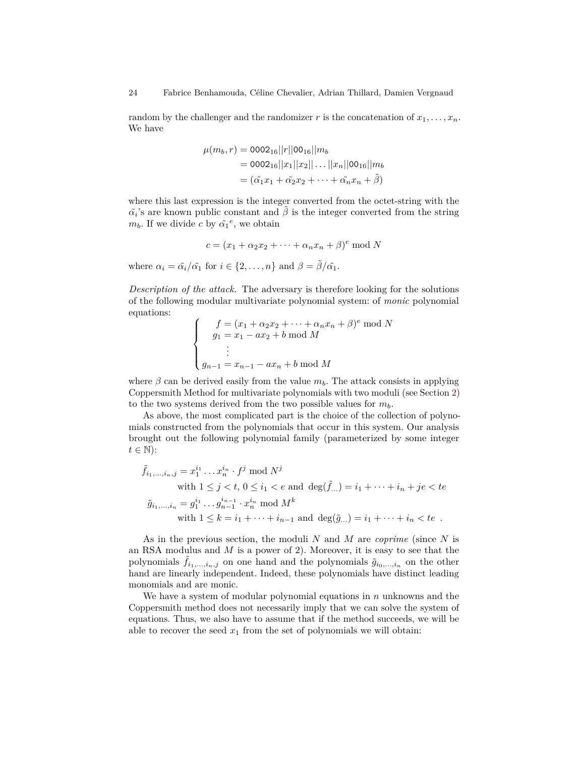random by the challenger and the randomizer *r* is the concatenation of  $x_1, \ldots, x_n$ . We have

$$
\mu(m_b, r) = 0002_{16} ||r|| 00_{16} ||m_b
$$
  
= 0002<sub>16</sub> ||x<sub>1</sub> ||x<sub>2</sub> ||... ||x<sub>n</sub> ||00<sub>16</sub> ||m<sub>b</sub>  
= (\tilde{\alpha}\_1 x\_1 + \tilde{\alpha}\_2 x\_2 + \dots + \tilde{\alpha}\_n x\_n + \tilde{\beta})

where this last expression is the integer converted from the octet-string with the  $\tilde{\alpha_i}$ 's are known public constant and  $\tilde{\beta}$  is the integer converted from the string  $m_b$ . If we divide *c* by  $\tilde{\alpha_1}^e$ , we obtain

$$
c = (x_1 + \alpha_2 x_2 + \dots + \alpha_n x_n + \beta)^e \bmod N
$$

where  $\alpha_i = \tilde{\alpha}_i / \tilde{\alpha}_1$  for  $i \in \{2, \ldots, n\}$  and  $\beta = \tilde{\beta}/\tilde{\alpha}_1$ .

*Description of the attack.* The adversary is therefore looking for the solutions of the following modular multivariate polynomial system: of *monic* polynomial equations:

$$
\begin{cases}\n f = (x_1 + \alpha_2 x_2 + \dots + \alpha_n x_n + \beta)^e \bmod N \\
 g_1 = x_1 - ax_2 + b \bmod M \\
 \vdots \\
 g_{n-1} = x_{n-1} - ax_n + b \bmod M\n\end{cases}
$$

where  $\beta$  can be derived easily from the value  $m_b$ . The attack consists in applying Coppersmith Method for multivariate polynomials with two moduli (see Section [2\)](#page-3-0) to the two systems derived from the two possible values for *mb*.

As above, the most complicated part is the choice of the collection of polynomials constructed from the polynomials that occur in this system. Our analysis brought out the following polynomial family (parameterized by some integer  $t \in \mathbb{N}$ :

$$
\tilde{f}_{i_1,...,i_n,j} = x_1^{i_1} \dots x_n^{i_n} \cdot f^j \mod N^j
$$
  
with  $1 \le j < t, 0 \le i_1 < e$  and  $\deg(\tilde{f}_{...}) = i_1 + \dots + i_n + je < te$   

$$
\tilde{g}_{i_1,...,i_n} = g_1^{i_1} \dots g_{n-1}^{i_{n-1}} \cdot x_n^{i_n} \mod M^k
$$
  
with  $1 \le k = i_1 + \dots + i_{n-1}$  and  $\deg(\tilde{g}_{...}) = i_1 + \dots + i_n < te$ .

As in the previous section, the moduli *N* and *M* are *coprime* (since *N* is an RSA modulus and *M* is a power of 2). Moreover, it is easy to see that the polynomials  $\tilde{f}_{i_1,\dots,i_n,j}$  on one hand and the polynomials  $\tilde{g}_{i_0,\dots,i_n}$  on the other hand are linearly independent. Indeed, these polynomials have distinct leading monomials and are monic.

<span id="page-23-0"></span>We have a system of modular polynomial equations in *n* unknowns and the Coppersmith method does not necessarily imply that we can solve the system of equations. Thus, we also have to assume that if the method succeeds, we will be able to recover the seed  $x_1$  from the set of polynomials we will obtain: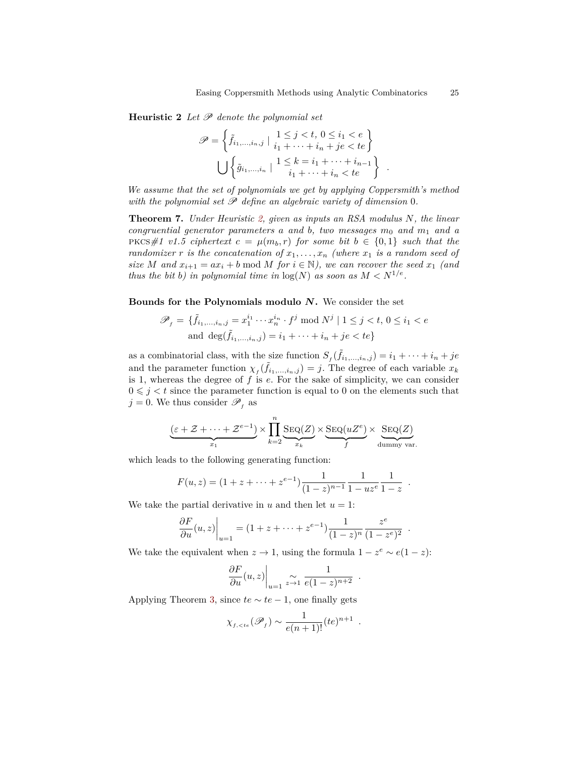**Heuristic 2** Let  $\mathcal P$  denote the polynomial set

$$
\mathscr{P} = \left\{ \tilde{f}_{i_1,...,i_n,j} \mid \begin{array}{l} 1 \leq j < t, \ 0 \leq i_1 < e \\ i_1 + \dots + i_n + je < te \end{array} \right\}
$$
\n
$$
\bigcup \left\{ \tilde{g}_{i_1,...,i_n} \mid \begin{array}{l} 1 \leq k = i_1 + \dots + i_{n-1} \\ i_1 + \dots + i_n < te \end{array} \right\} .
$$

*We assume that the set of polynomials we get by applying Coppersmith's method with the polynomial set*  $\mathscr P$  *define an algebraic variety of dimension* 0*.* 

**Theorem 7.** *Under Heuristic [2,](#page-23-0) given as inputs an RSA modulus N, the linear congruential generator parameters a and b, two messages m*<sup>0</sup> *and m*<sup>1</sup> *and a* PKCS#1 v1.5 ciphertext  $c = \mu(m_b, r)$  for some bit  $b \in \{0, 1\}$  such that the *randomizer r is the concatenation of*  $x_1, \ldots, x_n$  *(where*  $x_1$  *is a random seed of size M* and  $x_{i+1} = ax_i + b \text{ mod } M$  *for*  $i \in \mathbb{N}$ *), we can recover the seed*  $x_1$  *(and thus the bit b) in polynomial time in*  $log(N)$  *as soon as*  $M < N^{1/e}$ .

**Bounds for the Polynomials modulo** *N***.** We consider the set

$$
\mathcal{P}_f = \{ \tilde{f}_{i_1, ..., i_n, j} = x_1^{i_1} \cdots x_n^{i_n} \cdot f^j \mod N^j \mid 1 \le j < t, 0 \le i_1 < e
$$
\n
$$
\text{and } \deg(\tilde{f}_{i_1, ..., i_n, j}) = i_1 + \cdots + i_n + je < te \}
$$

as a combinatorial class, with the size function  $S_f(\tilde{f}_{i_1,\ldots,i_n,j}) = i_1 + \cdots + i_n + je$ and the parameter function  $\chi_f(\tilde{f}_{i_1,\dots,i_n,j}) = j$ . The degree of each variable  $x_k$ is 1, whereas the degree of *f* is *e*. For the sake of simplicity, we can consider  $0 \leq j \leq t$  since the parameter function is equal to 0 on the elements such that  $j = 0$ . We thus consider  $\mathscr{P}_f$  as

$$
\underbrace{(\varepsilon + \mathcal{Z} + \cdots + \mathcal{Z}^{e-1})}_{x_1} \times \prod_{k=2}^n \underbrace{\text{Seq}(Z)}_{x_k} \times \underbrace{\text{Seq}(uZ^e)}_{f} \times \underbrace{\text{Seq}(Z)}_{\text{dummy var.}}
$$

which leads to the following generating function:

$$
F(u,z) = (1 + z + \dots + z^{e-1}) \frac{1}{(1-z)^{n-1}} \frac{1}{1-uz^e} \frac{1}{1-z}.
$$

We take the partial derivative in  $u$  and then let  $u = 1$ :

$$
\left. \frac{\partial F}{\partial u}(u, z) \right|_{u=1} = (1 + z + \dots + z^{e-1}) \frac{1}{(1-z)^n} \frac{z^e}{(1-z^e)^2} .
$$

We take the equivalent when  $z \to 1$ , using the formula  $1 - z^e \sim e(1 - z)$ :

$$
\left. \frac{\partial F}{\partial u}(u, z) \right|_{u=1} \underset{z \to 1}{\sim} \frac{1}{e(1-z)^{n+2}}.
$$

Applying Theorem [3,](#page-11-1) since  $te \sim te - 1$ , one finally gets

$$
\chi_{f,
$$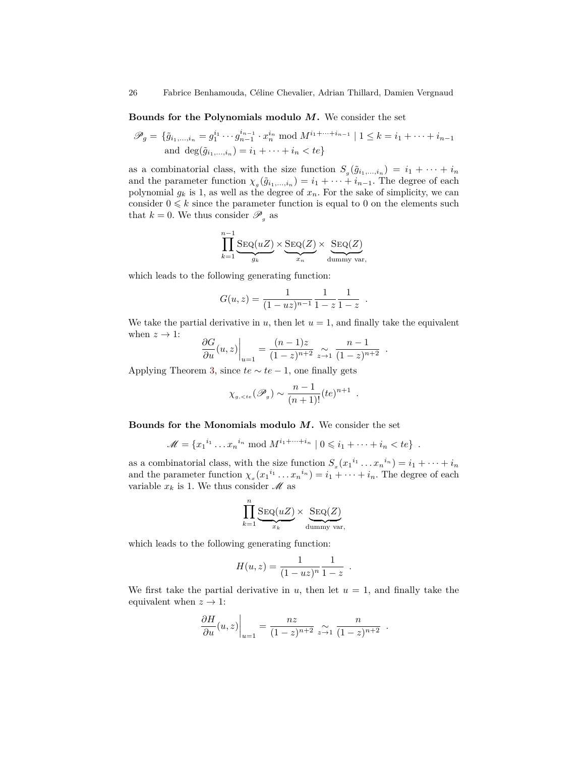### **Bounds for the Polynomials modulo** *M***.** We consider the set

$$
\mathscr{P}_g = \{ \tilde{g}_{i_1, \dots, i_n} = g_1^{i_1} \cdots g_{n-1}^{i_{n-1}} \cdot x_n^{i_n} \mod M^{i_1 + \dots + i_{n-1}} \mid 1 \le k = i_1 + \dots + i_{n-1}
$$
  
and 
$$
\deg(\tilde{g}_{i_1, \dots, i_n}) = i_1 + \dots + i_n < te \}
$$

as a combinatorial class, with the size function  $S_g(\tilde{g}_{i_1,\dots,i_n}) = i_1 + \dots + i_n$ and the parameter function  $\chi_g(\tilde{g}_{i_1,\dots,i_n}) = i_1 + \cdots + i_{n-1}$ . The degree of each polynomial  $g_k$  is 1, as well as the degree of  $x_n$ . For the sake of simplicity, we can consider  $0 \leq k$  since the parameter function is equal to 0 on the elements such that  $k = 0$ . We thus consider  $\mathscr{P}_g$  as

$$
\prod_{k=1}^{n-1} \underbrace{\text{Seq}(uZ)}_{g_k} \times \underbrace{\text{Seq}(Z)}_{x_n} \times \underbrace{\text{Seq}(Z)}_{\text{dummy var},}
$$

which leads to the following generating function:

$$
G(u, z) = \frac{1}{(1 - uz)^{n-1}} \frac{1}{1 - z} \frac{1}{1 - z}.
$$

We take the partial derivative in  $u$ , then let  $u = 1$ , and finally take the equivalent when  $z \rightarrow 1$ :

$$
\left. \frac{\partial G}{\partial u}(u, z) \right|_{u=1} = \frac{(n-1)z}{(1-z)^{n+2}} \underset{z \to 1}{\sim} \frac{n-1}{(1-z)^{n+2}}.
$$

Applying Theorem [3,](#page-11-1) since  $te \sim te - 1$ , one finally gets

$$
\chi_{g,
$$

### **Bounds for the Monomials modulo** *M***.** We consider the set

$$
\mathscr{M} = \{x_1^{i_1} \dots x_n^{i_n} \bmod M^{i_1 + \dots + i_n} \mid 0 \leq i_1 + \dots + i_n < te\} .
$$

as a combinatorial class, with the size function  $S_x(x_1^{i_1} \dots x_n^{i_n}) = i_1 + \dots + i_n$ and the parameter function  $\chi_x(x_1^{i_1} \dots x_n^{i_n}) = i_1 + \dots + i_n$ . The degree of each variable  $x_k$  is 1. We thus consider  $\mathcal M$  as

$$
\prod_{k=1}^{n} \underbrace{\text{Seq}(uZ)}_{x_k} \times \underbrace{\text{Seq}(Z)}_{\text{dummy var,}}
$$

which leads to the following generating function:

$$
H(u, z) = \frac{1}{(1 - uz)^n} \frac{1}{1 - z} .
$$

We first take the partial derivative in  $u$ , then let  $u = 1$ , and finally take the equivalent when  $z \to 1$ :

$$
\left. \frac{\partial H}{\partial u}(u, z) \right|_{u=1} = \frac{nz}{(1-z)^{n+2}} \underset{z \to 1}{\sim} \frac{n}{(1-z)^{n+2}}.
$$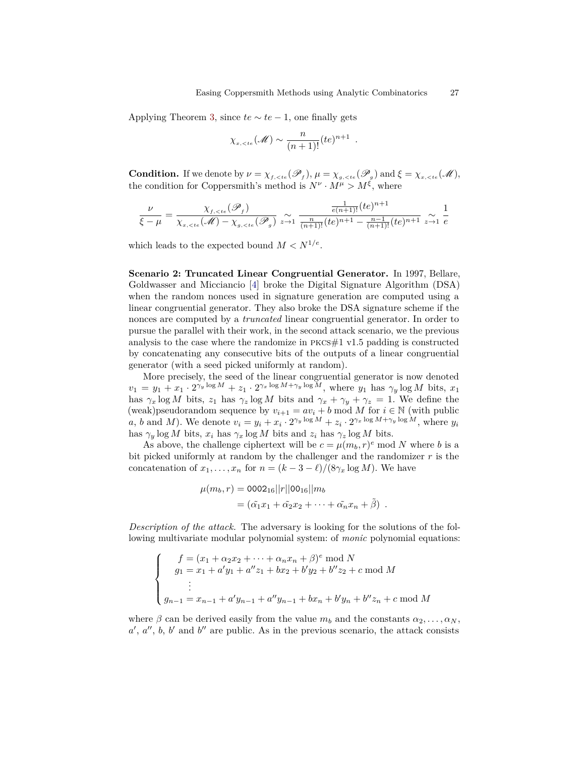Applying Theorem [3,](#page-11-1) since *te* ∼ *te* − 1, one finally gets

$$
\chi_{x,
$$

**Condition.** If we denote by  $\nu = \chi_{f, \leq t_e}(\mathscr{P}_f), \mu = \chi_{g, \leq t_e}(\mathscr{P}_g)$  and  $\xi = \chi_{x, \leq t_e}(\mathscr{M}),$ the condition for Coppersmith's method is  $N^{\nu} \cdot M^{\mu} > M^{\xi}$ , where

$$
\frac{\nu}{\xi-\mu} = \frac{\chi_{f,
$$

which leads to the expected bound  $M < N^{1/e}$ .

**Scenario 2: Truncated Linear Congruential Generator.** In 1997, Bellare, Goldwasser and Micciancio [\[4\]](#page-28-8) broke the Digital Signature Algorithm (DSA) when the random nonces used in signature generation are computed using a linear congruential generator. They also broke the DSA signature scheme if the nonces are computed by a *truncated* linear congruential generator. In order to pursue the parallel with their work, in the second attack scenario, we the previous analysis to the case where the randomize in  $PKCS#1$  v1.5 padding is constructed by concatenating any consecutive bits of the outputs of a linear congruential generator (with a seed picked uniformly at random).

More precisely, the seed of the linear congruential generator is now denoted  $v_1 = y_1 + x_1 \cdot 2^{\gamma_y \log M} + z_1 \cdot 2^{\gamma_x \log M + \gamma_y \log M}$ , where  $y_1$  has  $\gamma_y \log M$  bits,  $x_1$ has  $\gamma_x \log M$  bits,  $z_1$  has  $\gamma_z \log M$  bits and  $\gamma_x + \gamma_y + \gamma_z = 1$ . We define the (weak)pseudorandom sequence by  $v_{i+1} = av_i + b \mod M$  for  $i \in \mathbb{N}$  (with public a, b and M). We denote  $v_i = y_i + x_i \cdot 2^{\gamma_y \log M} + z_i \cdot 2^{\gamma_x \log M + \gamma_y \log M}$ , where  $y_i$ has  $\gamma_y \log M$  bits,  $x_i \text{ has } \gamma_x \log M$  bits and  $z_i \text{ has } \gamma_z \log M$  bits.

As above, the challenge ciphertext will be  $c = \mu(m_b, r)^e \mod N$  where *b* is a bit picked uniformly at random by the challenger and the randomizer *r* is the concatenation of  $x_1, \ldots, x_n$  for  $n = (k - 3 - \ell)/(8\gamma_x \log M)$ . We have

$$
\mu(m_b, r) = 0002_{16} ||r|| 00_{16} ||m_b
$$
  
=  $(\tilde{\alpha_1} x_1 + \tilde{\alpha_2} x_2 + \cdots + \tilde{\alpha_n} x_n + \tilde{\beta})$ .

*Description of the attack.* The adversary is looking for the solutions of the following multivariate modular polynomial system: of *monic* polynomial equations:

$$
\begin{cases}\n f = (x_1 + \alpha_2 x_2 + \dots + \alpha_n x_n + \beta)^e \bmod N \\
 g_1 = x_1 + a'y_1 + a''z_1 + bx_2 + b'y_2 + b''z_2 + c \bmod M \\
 \vdots \\
 g_{n-1} = x_{n-1} + a'y_{n-1} + a''y_{n-1} + bx_n + b'y_n + b''z_n + c \bmod M\n\end{cases}
$$

where  $\beta$  can be derived easily from the value  $m_b$  and the constants  $\alpha_2, \ldots, \alpha_N$ ,  $a'$ ,  $a''$ ,  $b$ ,  $b'$  and  $b''$  are public. As in the previous scenario, the attack consists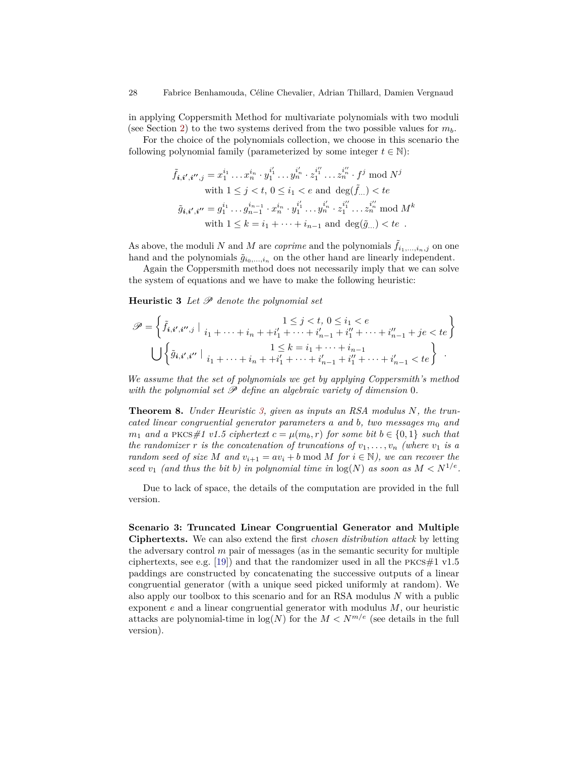in applying Coppersmith Method for multivariate polynomials with two moduli (see Section [2\)](#page-3-0) to the two systems derived from the two possible values for *mb*.

For the choice of the polynomials collection, we choose in this scenario the following polynomial family (parameterized by some integer  $t \in \mathbb{N}$ ):

$$
\tilde{f}_{\pmb{i},\pmb{i}',\pmb{i}''',j} = x_1^{i_1} \dots x_n^{i_n} \cdot y_1^{i'_1} \dots y_n^{i'_n} \cdot z_1^{i''_1} \dots z_n^{i''_n} \cdot f^j \mod N^j
$$
\nwith  $1 \le j < t, 0 \le i_1 < e$  and  $\deg(\tilde{f}_{\dots}) < te$ \n
$$
\tilde{g}_{\pmb{i},\pmb{i}',\pmb{i}''} = g_1^{i_1} \dots g_{n-1}^{i_{n-1}} \cdot x_n^{i_n} \cdot y_1^{i'_1} \dots y_n^{i'_n} \cdot z_1^{i''_1} \dots z_n^{i''_n} \mod M^k
$$
\nwith  $1 \le k = i_1 + \dots + i_{n-1}$  and  $\deg(\tilde{g}_{\dots}) < te$ .

As above, the moduli *N* and *M* are *coprime* and the polynomials  $\tilde{f}_{i_1,\dots,i_n,j}$  on one hand and the polynomials  $\tilde{g}_{i_0,\ldots,i_n}$  on the other hand are linearly independent.

Again the Coppersmith method does not necessarily imply that we can solve the system of equations and we have to make the following heuristic:

<span id="page-27-0"></span>**Heuristic 3** Let  $\mathcal{P}$  denote the polynomial set

$$
\mathscr{P} = \left\{ \tilde{f}_{\pmb{i},\pmb{i}',\pmb{i}''',j} \mid \begin{array}{c} 1 \leq j < t, \ 0 \leq i_1 < e \\ i_1 + \cdots + i_n + i'_1 + \cdots + i'_{n-1} + i''_1 + \cdots + i''_{n-1} + j e < t e \end{array} \right\}
$$
\n
$$
\bigcup \left\{ \tilde{g}_{\pmb{i},\pmb{i}',\pmb{i}''} \mid \begin{array}{c} 1 \leq k = i_1 + \cdots + i_{n-1} \\ i_1 + \cdots + i'_{n-1} + i''_1 + \cdots + i'_{n-1} < t e \end{array} \right\} .
$$

*We assume that the set of polynomials we get by applying Coppersmith's method with the polynomial set* P *define an algebraic variety of dimension* 0*.*

**Theorem 8.** *Under Heuristic [3,](#page-27-0) given as inputs an RSA modulus N, the truncated linear congruential generator parameters a and b, two messages m*<sup>0</sup> *and m*<sub>1</sub> *and a* PKCS #1 *v1.5 ciphertext*  $c = \mu(m_b, r)$  *for some bit*  $b \in \{0, 1\}$  *such that the randomizer r is the concatenation of truncations of*  $v_1, \ldots, v_n$  *(where*  $v_1$  *is a random seed of size M and*  $v_{i+1} = av_i + b \text{ mod } M$  *for*  $i \in \mathbb{N}$ *), we can recover the seed*  $v_1$  (and thus the bit b) in polynomial time in  $log(N)$  *as soon as*  $M < N^{1/e}$ .

Due to lack of space, the details of the computation are provided in the full version.

**Scenario 3: Truncated Linear Congruential Generator and Multiple Ciphertexts.** We can also extend the first *chosen distribution attack* by letting the adversary control *m* pair of messages (as in the semantic security for multiple ciphertexts, see e.g. [\[19\]](#page-29-15)) and that the randomizer used in all the  $PKCS#1$  v1.5 paddings are constructed by concatenating the successive outputs of a linear congruential generator (with a unique seed picked uniformly at random). We also apply our toolbox to this scenario and for an RSA modulus *N* with a public exponent *e* and a linear congruential generator with modulus *M*, our heuristic attacks are polynomial-time in  $log(N)$  for the  $M < N^{m/e}$  (see details in the full version).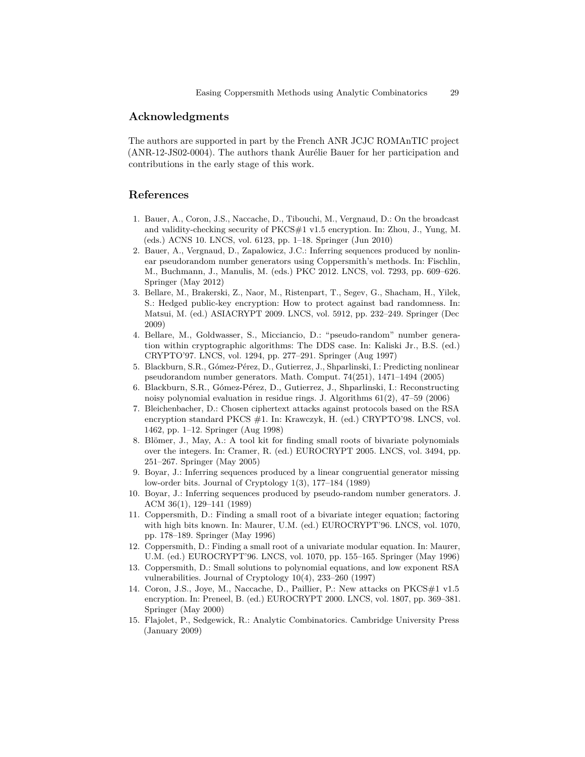# **Acknowledgments**

The authors are supported in part by the French ANR JCJC ROMAnTIC project (ANR-12-JS02-0004). The authors thank Aurélie Bauer for her participation and contributions in the early stage of this work.

# **References**

- <span id="page-28-11"></span>1. Bauer, A., Coron, J.S., Naccache, D., Tibouchi, M., Vergnaud, D.: On the broadcast and validity-checking security of PKCS#1 v1.5 encryption. In: Zhou, J., Yung, M. (eds.) ACNS 10. LNCS, vol. 6123, pp. 1–18. Springer (Jun 2010)
- <span id="page-28-3"></span>2. Bauer, A., Vergnaud, D., Zapalowicz, J.C.: Inferring sequences produced by nonlinear pseudorandom number generators using Coppersmith's methods. In: Fischlin, M., Buchmann, J., Manulis, M. (eds.) PKC 2012. LNCS, vol. 7293, pp. 609–626. Springer (May 2012)
- <span id="page-28-13"></span>3. Bellare, M., Brakerski, Z., Naor, M., Ristenpart, T., Segev, G., Shacham, H., Yilek, S.: Hedged public-key encryption: How to protect against bad randomness. In: Matsui, M. (ed.) ASIACRYPT 2009. LNCS, vol. 5912, pp. 232–249. Springer (Dec 2009)
- <span id="page-28-8"></span>4. Bellare, M., Goldwasser, S., Micciancio, D.: "pseudo-random" number generation within cryptographic algorithms: The DDS case. In: Kaliski Jr., B.S. (ed.) CRYPTO'97. LNCS, vol. 1294, pp. 277–291. Springer (Aug 1997)
- <span id="page-28-6"></span>5. Blackburn, S.R., Gómez-Pérez, D., Gutierrez, J., Shparlinski, I.: Predicting nonlinear pseudorandom number generators. Math. Comput. 74(251), 1471–1494 (2005)
- <span id="page-28-7"></span>6. Blackburn, S.R., Gómez-Pérez, D., Gutierrez, J., Shparlinski, I.: Reconstructing noisy polynomial evaluation in residue rings. J. Algorithms 61(2), 47–59 (2006)
- <span id="page-28-10"></span>7. Bleichenbacher, D.: Chosen ciphertext attacks against protocols based on the RSA encryption standard PKCS #1. In: Krawczyk, H. (ed.) CRYPTO'98. LNCS, vol. 1462, pp. 1–12. Springer (Aug 1998)
- <span id="page-28-2"></span>8. Blömer, J., May, A.: A tool kit for finding small roots of bivariate polynomials over the integers. In: Cramer, R. (ed.) EUROCRYPT 2005. LNCS, vol. 3494, pp. 251–267. Springer (May 2005)
- <span id="page-28-5"></span>9. Boyar, J.: Inferring sequences produced by a linear congruential generator missing low-order bits. Journal of Cryptology 1(3), 177–184 (1989)
- <span id="page-28-4"></span>10. Boyar, J.: Inferring sequences produced by pseudo-random number generators. J. ACM 36(1), 129–141 (1989)
- <span id="page-28-0"></span>11. Coppersmith, D.: Finding a small root of a bivariate integer equation; factoring with high bits known. In: Maurer, U.M. (ed.) EUROCRYPT'96. LNCS, vol. 1070, pp. 178–189. Springer (May 1996)
- 12. Coppersmith, D.: Finding a small root of a univariate modular equation. In: Maurer, U.M. (ed.) EUROCRYPT'96. LNCS, vol. 1070, pp. 155–165. Springer (May 1996)
- <span id="page-28-1"></span>13. Coppersmith, D.: Small solutions to polynomial equations, and low exponent RSA vulnerabilities. Journal of Cryptology 10(4), 233–260 (1997)
- <span id="page-28-12"></span>14. Coron, J.S., Joye, M., Naccache, D., Paillier, P.: New attacks on PKCS#1 v1.5 encryption. In: Preneel, B. (ed.) EUROCRYPT 2000. LNCS, vol. 1807, pp. 369–381. Springer (May 2000)
- <span id="page-28-9"></span>15. Flajolet, P., Sedgewick, R.: Analytic Combinatorics. Cambridge University Press (January 2009)